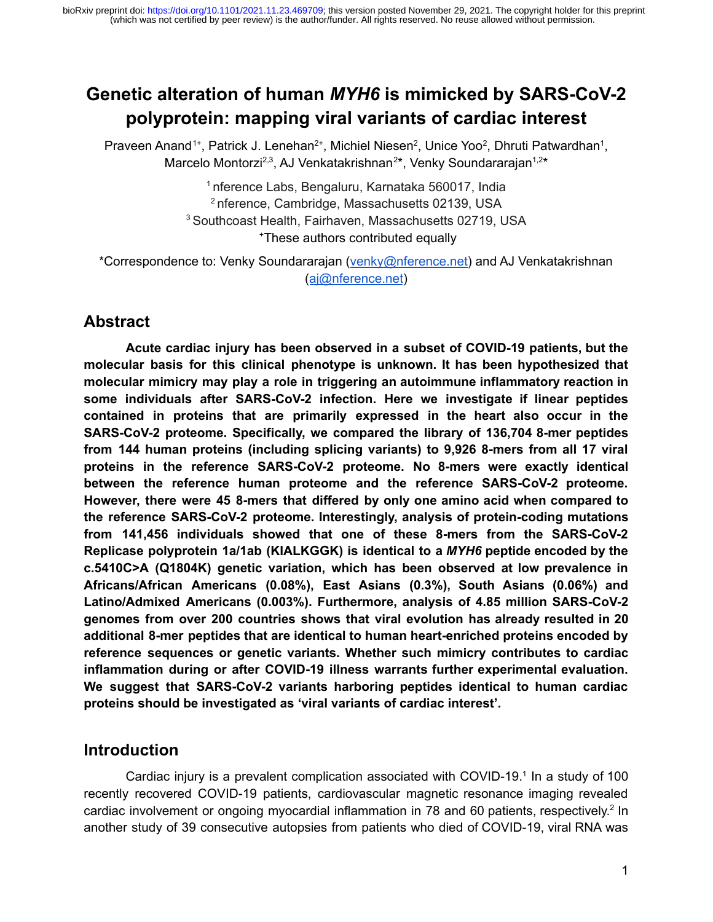# **Genetic alteration of human** *MYH6* **is mimicked by SARS-CoV-2 polyprotein: mapping viral variants of cardiac interest**

Praveen Anand<sup>1+</sup>, Patrick J. Lenehan<sup>2+</sup>, Michiel Niesen<sup>2</sup>, Unice Yoo<sup>2</sup>, Dhruti Patwardhan<sup>1</sup>, Marcelo Montorzi<sup>2,3</sup>, AJ Venkatakrishnan<sup>2\*</sup>, Venky Soundararajan<sup>1,2\*</sup>

> nference Labs, Bengaluru, Karnataka 560017, India nference, Cambridge, Massachusetts 02139, USA Southcoast Health, Fairhaven, Massachusetts 02719, USA <sup>+</sup>These authors contributed equally

\*Correspondence to: Venky Soundararajan ([venky@nference.net\)](mailto:venky@nference.net) and AJ Venkatakrishnan ([aj@nference.net](mailto:aj@nference.net))

# **Abstract**

**Acute cardiac injury has been observed in a subset of COVID-19 patients, but the molecular basis for this clinical phenotype is unknown. It has been hypothesized that molecular mimicry may play a role in triggering an autoimmune inflammatory reaction in some individuals after SARS-CoV-2 infection. Here we investigate if linear peptides contained in proteins that are primarily expressed in the heart also occur in the SARS-CoV-2 proteome. Specifically, we compared the library of 136,704 8-mer peptides from 144 human proteins (including splicing variants) to 9,926 8-mers from all 17 viral proteins in the reference SARS-CoV-2 proteome. No 8-mers were exactly identical between the reference human proteome and the reference SARS-CoV-2 proteome. However, there were 45 8-mers that differed by only one amino acid when compared to the reference SARS-CoV-2 proteome. Interestingly, analysis of protein-coding mutations from 141,456 individuals showed that one of these 8-mers from the SARS-CoV-2 Replicase polyprotein 1a/1ab (KIALKGGK) is identical to a** *MYH6* **peptide encoded by the c.5410C>A (Q1804K) genetic variation, which has been observed at low prevalence in Africans/African Americans (0.08%), East Asians (0.3%), South Asians (0.06%) and Latino/Admixed Americans (0.003%). Furthermore, analysis of 4.85 million SARS-CoV-2 genomes from over 200 countries shows that viral evolution has already resulted in 20 additional 8-mer peptides that are identical to human heart-enriched proteins encoded by reference sequences or genetic variants. Whether such mimicry contributes to cardiac inflammation during or after COVID-19 illness warrants further experimental evaluation. We suggest that SARS-CoV-2 variants harboring peptides identical to human cardiac proteins should be investigated as 'viral variants of cardiac interest'.**

# **Introduction**

Cardiac injury is a prevalent complication associated with COVID-[1](https://paperpile.com/c/52CHnb/CBYe)9.<sup>1</sup> In a study of 100 recently recovered COVID-19 patients, cardiovascular magnetic resonance imaging revealed cardiac involvement or ongoing myocardial inflammation in 78 and 60 patients, respectively.<sup>[2](https://paperpile.com/c/52CHnb/3eX3)</sup> In another study of 39 consecutive autopsies from patients who died of COVID-19, viral RNA was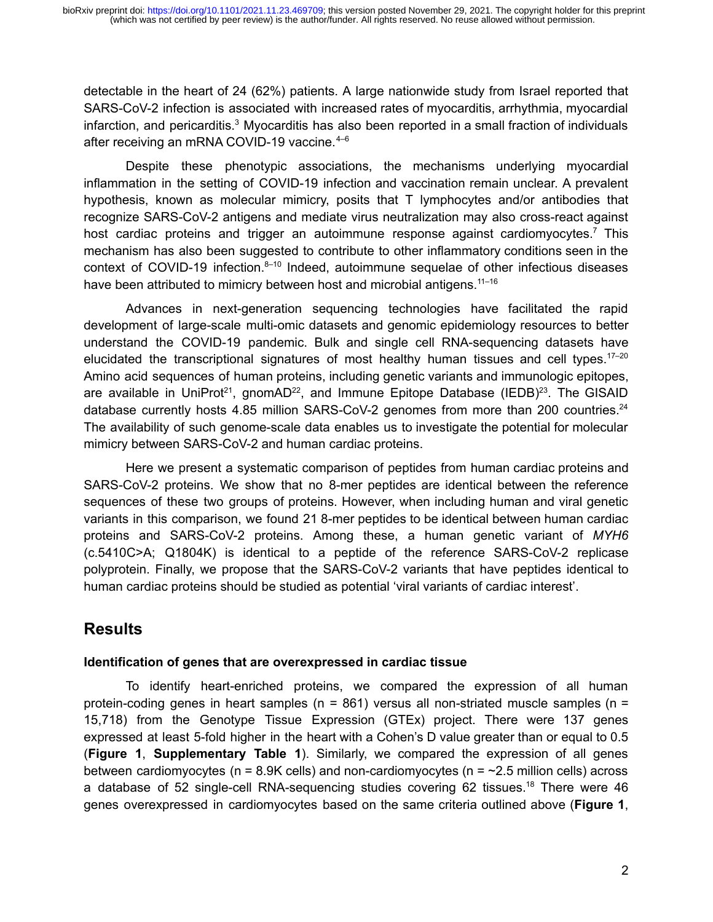detectable in the heart of 24 (62%) patients. A large nationwide study from Israel reported that SARS-CoV-2 infection is associated with increased rates of myocarditis, arrhythmia, myocardial infarction, and pericarditis.<sup>[3](https://paperpile.com/c/52CHnb/QsqN)</sup> Myocarditis has also been reported in a small fraction of individuals after receiving an mRNA COVID-19 vaccine.<sup>4-6</sup>

Despite these phenotypic associations, the mechanisms underlying myocardial inflammation in the setting of COVID-19 infection and vaccination remain unclear. A prevalent hypothesis, known as molecular mimicry, posits that T lymphocytes and/or antibodies that recognize SARS-CoV-2 antigens and mediate virus neutralization may also cross-react against host cardiac proteins and trigger an autoimmune response against cardiomyocytes.<sup>[7](https://paperpile.com/c/52CHnb/1yCJ)</sup> This mechanism has also been suggested to contribute to other inflammatory conditions seen in the context of COVID-19 infection. $8-10$  Indeed, autoimmune sequelae of other infectious diseases have been attributed to mimicry between host and microbial antigens.<sup>11-16</sup>

Advances in next-generation sequencing technologies have facilitated the rapid development of large-scale multi-omic datasets and genomic epidemiology resources to better understand the COVID-19 pandemic. Bulk and single cell RNA-sequencing datasets have elucidated the transcriptional signatures of most healthy human tissues and cell types.<sup>17-20</sup> Amino acid sequences of human proteins, including genetic variants and immunologic epitopes, are available in UniProt<sup>[21](https://paperpile.com/c/52CHnb/yWF4)</sup>, gnomAD<sup>[22](https://paperpile.com/c/52CHnb/40bD)</sup>, and Immune Epitope Database (IEDB)<sup>[23](https://paperpile.com/c/52CHnb/EvqS)</sup>. The GISAID database currently hosts 4.85 million SARS-CoV-2 genomes from more than 200 countries.<sup>[24](https://paperpile.com/c/52CHnb/Mo9T)</sup> The availability of such genome-scale data enables us to investigate the potential for molecular mimicry between SARS-CoV-2 and human cardiac proteins.

Here we present a systematic comparison of peptides from human cardiac proteins and SARS-CoV-2 proteins. We show that no 8-mer peptides are identical between the reference sequences of these two groups of proteins. However, when including human and viral genetic variants in this comparison, we found 21 8-mer peptides to be identical between human cardiac proteins and SARS-CoV-2 proteins. Among these, a human genetic variant of *MYH6* (c.5410C>A; Q1804K) is identical to a peptide of the reference SARS-CoV-2 replicase polyprotein. Finally, we propose that the SARS-CoV-2 variants that have peptides identical to human cardiac proteins should be studied as potential 'viral variants of cardiac interest'.

# **Results**

### **Identification of genes that are overexpressed in cardiac tissue**

To identify heart-enriched proteins, we compared the expression of all human protein-coding genes in heart samples ( $n = 861$ ) versus all non-striated muscle samples ( $n =$ 15,718) from the Genotype Tissue Expression (GTEx) project. There were 137 genes expressed at least 5-fold higher in the heart with a Cohen's D value greater than or equal to 0.5 (**Figure 1**, **Supplementary Table 1**). Similarly, we compared the expression of all genes between cardiomyocytes ( $n = 8.9K$  cells) and non-cardiomyocytes ( $n = -2.5$  million cells) across a database of 52 single-cell RNA-sequencing studies covering 62 tissues.<sup>[18](https://paperpile.com/c/52CHnb/TQK4)</sup> There were 46 genes overexpressed in cardiomyocytes based on the same criteria outlined above (**Figure 1**,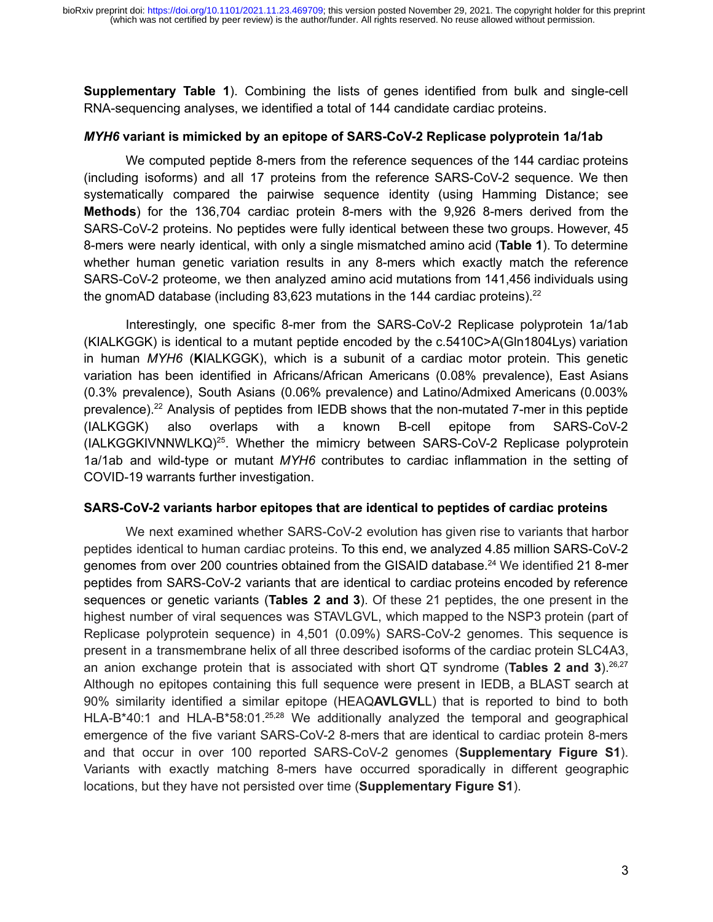**Supplementary Table 1**). Combining the lists of genes identified from bulk and single-cell RNA-sequencing analyses, we identified a total of 144 candidate cardiac proteins.

#### *MYH6* **variant is mimicked by an epitope of SARS-CoV-2 Replicase polyprotein 1a/1ab**

We computed peptide 8-mers from the reference sequences of the 144 cardiac proteins (including isoforms) and all 17 proteins from the reference SARS-CoV-2 sequence. We then systematically compared the pairwise sequence identity (using Hamming Distance; see **Methods**) for the 136,704 cardiac protein 8-mers with the 9,926 8-mers derived from the SARS-CoV-2 proteins. No peptides were fully identical between these two groups. However, 45 8-mers were nearly identical, with only a single mismatched amino acid (**Table 1**). To determine whether human genetic variation results in any 8-mers which exactly match the reference SARS-CoV-2 proteome, we then analyzed amino acid mutations from 141,456 individuals using the gnomAD database (including  $83,623$  mutations in the 144 cardiac proteins).<sup>[22](https://paperpile.com/c/52CHnb/40bD)</sup>

Interestingly, one specific 8-mer from the SARS-CoV-2 Replicase polyprotein 1a/1ab (KIALKGGK) is identical to a mutant peptide encoded by the c.5410C>A(Gln1804Lys) variation in human *MYH6* (**K**IALKGGK), which is a subunit of a cardiac motor protein. This genetic variation has been identified in Africans/African Americans (0.08% prevalence), East Asians (0.3% prevalence), South Asians (0.06% prevalence) and Latino/Admixed Americans (0.003% prevalence).[22](https://paperpile.com/c/52CHnb/40bD) Analysis of peptides from IEDB shows that the non-mutated 7-mer in this peptide (IALKGGK) also overlaps with a known B-cell epitope from SARS-CoV-2 (IALKGGKIVNNWLKQ)[25](https://paperpile.com/c/52CHnb/57Rd). Whether the mimicry between SARS-CoV-2 Replicase polyprotein 1a/1ab and wild-type or mutant *MYH6* contributes to cardiac inflammation in the setting of COVID-19 warrants further investigation.

#### **SARS-CoV-2 variants harbor epitopes that are identical to peptides of cardiac proteins**

We next examined whether SARS-CoV-2 evolution has given rise to variants that harbor peptides identical to human cardiac proteins. To this end, we analyzed 4.85 million SARS-CoV-2 genomes from over 200 countries obtained from the GISAID database.[24](https://paperpile.com/c/52CHnb/Mo9T) We identified 21 8-mer peptides from SARS-CoV-2 variants that are identical to cardiac proteins encoded by reference sequences or genetic variants (**Tables 2 and 3**). Of these 21 peptides, the one present in the highest number of viral sequences was STAVLGVL, which mapped to the NSP3 protein (part of Replicase polyprotein sequence) in 4,501 (0.09%) SARS-CoV-2 genomes. This sequence is present in a transmembrane helix of all three described isoforms of the cardiac protein SLC4A3, an anion exchange protein that is associated with short QT syndrome (**Tables 2 and 3**).<sup>[26,27](https://paperpile.com/c/52CHnb/dDmH+CLCV)</sup> Although no epitopes containing this full sequence were present in IEDB, a BLAST search at 90% similarity identified a similar epitope (HEAQ**AVLGVL**L) that is reported to bind to both HLA-B<sup>\*</sup>40:1 and HLA-B<sup>\*</sup>58:01.<sup>[25,28](https://paperpile.com/c/52CHnb/0NPf+57Rd)</sup> We additionally analyzed the temporal and geographical emergence of the five variant SARS-CoV-2 8-mers that are identical to cardiac protein 8-mers and that occur in over 100 reported SARS-CoV-2 genomes (**Supplementary Figure S1**). Variants with exactly matching 8-mers have occurred sporadically in different geographic locations, but they have not persisted over time (**Supplementary Figure S1**).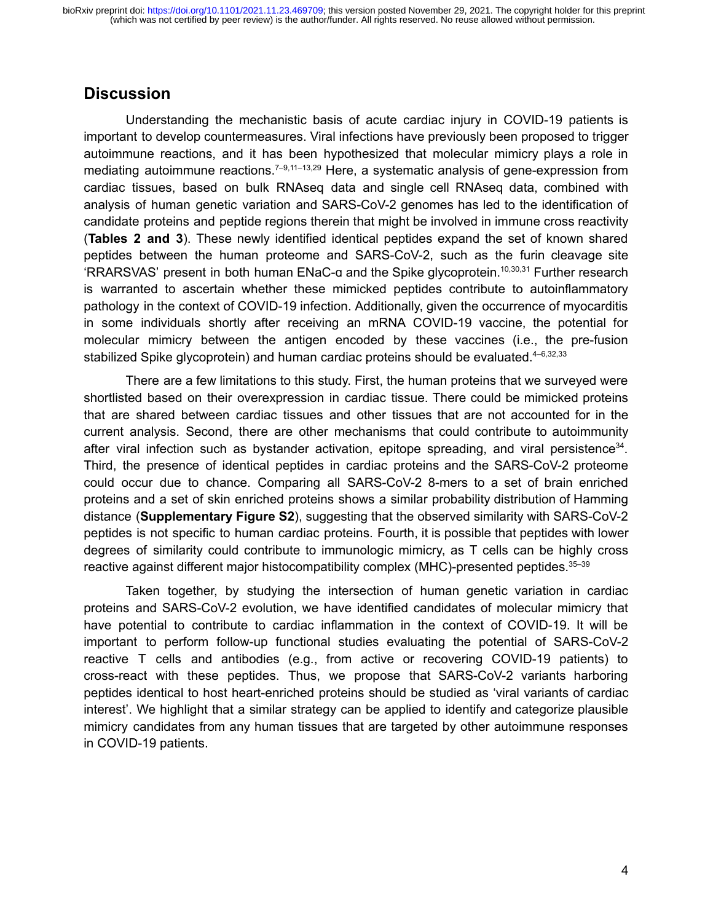## **Discussion**

Understanding the mechanistic basis of acute cardiac injury in COVID-19 patients is important to develop countermeasures. Viral infections have previously been proposed to trigger autoimmune reactions, and it has been hypothesized that molecular mimicry plays a role in mediating autoimmune reactions.<sup> $7-9,11-13,29$ </sup> Here, a systematic analysis of gene-expression from cardiac tissues, based on bulk RNAseq data and single cell RNAseq data, combined with analysis of human genetic variation and SARS-CoV-2 genomes has led to the identification of candidate proteins and peptide regions therein that might be involved in immune cross reactivity (**Tables 2 and 3**). These newly identified identical peptides expand the set of known shared peptides between the human proteome and SARS-CoV-2, such as the furin cleavage site 'RRARSVAS' present in both human ENaC-ɑ and the Spike glycoprotein.[10,30,31](https://paperpile.com/c/52CHnb/XVKm+2jqB+3YyR) Further research is warranted to ascertain whether these mimicked peptides contribute to autoinflammatory pathology in the context of COVID-19 infection. Additionally, given the occurrence of myocarditis in some individuals shortly after receiving an mRNA COVID-19 vaccine, the potential for molecular mimicry between the antigen encoded by these vaccines (i.e., the pre-fusion stabilized Spike glycoprotein) and human cardiac proteins should be evaluated. $4-6,32,33$ 

There are a few limitations to this study. First, the human proteins that we surveyed were shortlisted based on their overexpression in cardiac tissue. There could be mimicked proteins that are shared between cardiac tissues and other tissues that are not accounted for in the current analysis. Second, there are other mechanisms that could contribute to autoimmunity after viral infection such as bystander activation, epitope spreading, and viral persistence<sup>[34](https://paperpile.com/c/52CHnb/FAz6)</sup>. Third, the presence of identical peptides in cardiac proteins and the SARS-CoV-2 proteome could occur due to chance. Comparing all SARS-CoV-2 8-mers to a set of brain enriched proteins and a set of skin enriched proteins shows a similar probability distribution of Hamming distance (**Supplementary Figure S2**), suggesting that the observed similarity with SARS-CoV-2 peptides is not specific to human cardiac proteins. Fourth, it is possible that peptides with lower degrees of similarity could contribute to immunologic mimicry, as T cells can be highly cross reactive against different major histocompatibility complex (MHC)-presented peptides.<sup>35-39</sup>

Taken together, by studying the intersection of human genetic variation in cardiac proteins and SARS-CoV-2 evolution, we have identified candidates of molecular mimicry that have potential to contribute to cardiac inflammation in the context of COVID-19. It will be important to perform follow-up functional studies evaluating the potential of SARS-CoV-2 reactive T cells and antibodies (e.g., from active or recovering COVID-19 patients) to cross-react with these peptides. Thus, we propose that SARS-CoV-2 variants harboring peptides identical to host heart-enriched proteins should be studied as 'viral variants of cardiac interest'. We highlight that a similar strategy can be applied to identify and categorize plausible mimicry candidates from any human tissues that are targeted by other autoimmune responses in COVID-19 patients.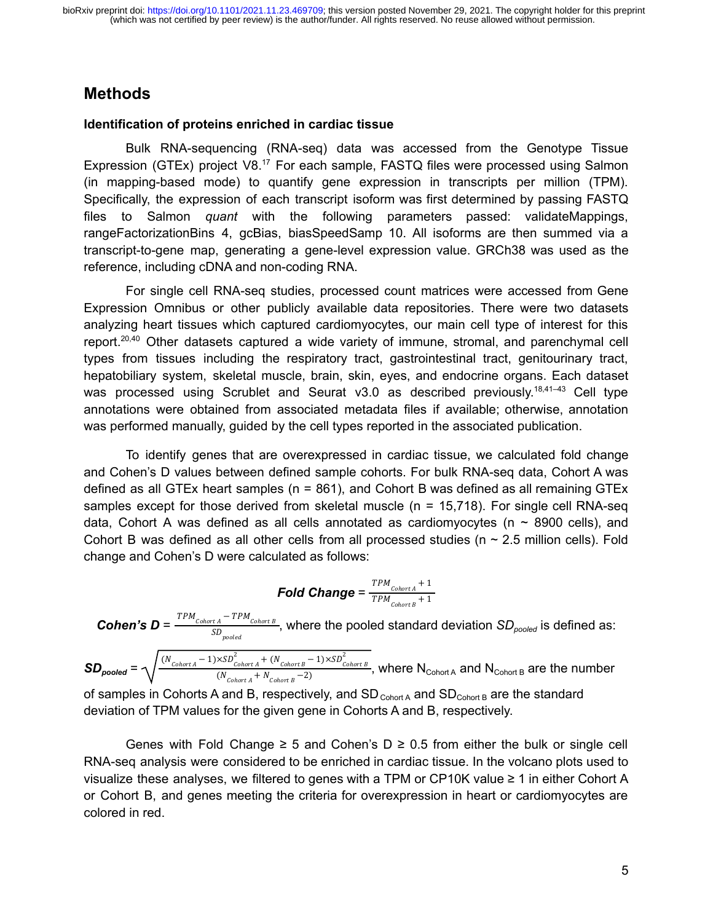# **Methods**

#### **Identification of proteins enriched in cardiac tissue**

Bulk RNA-sequencing (RNA-seq) data was accessed from the Genotype Tissue Expression (GTEx) project V8.<sup>[17](https://paperpile.com/c/52CHnb/MyCa)</sup> For each sample, FASTQ files were processed using Salmon (in mapping-based mode) to quantify gene expression in transcripts per million (TPM). Specifically, the expression of each transcript isoform was first determined by passing FASTQ files to Salmon *quant* with the following parameters passed: validateMappings, rangeFactorizationBins 4, gcBias, biasSpeedSamp 10. All isoforms are then summed via a transcript-to-gene map, generating a gene-level expression value. GRCh38 was used as the reference, including cDNA and non-coding RNA.

For single cell RNA-seq studies, processed count matrices were accessed from Gene Expression Omnibus or other publicly available data repositories. There were two datasets analyzing heart tissues which captured cardiomyocytes, our main cell type of interest for this report.<sup>[20,40](https://paperpile.com/c/52CHnb/MN6W+UHNC)</sup> Other datasets captured a wide variety of immune, stromal, and parenchymal cell types from tissues including the respiratory tract, gastrointestinal tract, genitourinary tract, hepatobiliary system, skeletal muscle, brain, skin, eyes, and endocrine organs. Each dataset was processed using Scrublet and Seurat  $v3.0$  as described previously.<sup>18,41-43</sup> Cell type annotations were obtained from associated metadata files if available; otherwise, annotation was performed manually, guided by the cell types reported in the associated publication.

To identify genes that are overexpressed in cardiac tissue, we calculated fold change and Cohen's D values between defined sample cohorts. For bulk RNA-seq data, Cohort A was defined as all GTEx heart samples ( $n = 861$ ), and Cohort B was defined as all remaining GTEx samples except for those derived from skeletal muscle (n = 15,718). For single cell RNA-seq data, Cohort A was defined as all cells annotated as cardiomyocytes ( $n \sim 8900$  cells), and Cohort B was defined as all other cells from all processed studies ( $n \sim 2.5$  million cells). Fold change and Cohen's D were calculated as follows:

$$
\textit{Fold Change} = \frac{\textit{TPM}_{\textit{Cohort A}}+1}{\textit{TPM}_{\textit{Cohort B}}+1}
$$

*Cohen's D* =  $\frac{TPM_{cohort A} - TPM_{Cohort B}}{SD}$ , where the pooled standard deviation *SD<sub>pooled</sub>* is defined as:  $SD_{pooled}$ 

 $SD_{pooled} = \sqrt{\frac{(N_{\text{Cohort A}} - 1) \times SD_{\text{Cohort A}}^2 + (N_{\text{Cohort B}} - 1) \times SD_{\text{Cohort B}}^2}{(N_{\text{A}} + N_{\text{A}} - 2)}},$  where N<sub>Cohort A</sub> and N<sub>Cohort B</sub> are the number  $(N_{\text{Cohort A}} + N_{\text{Cohort B}} - 2)$ of samples in Cohorts A and B, respectively, and  $SD_{\text{Cohort A}}$  and  $SD_{\text{Cohort B}}$  are the standard deviation of TPM values for the given gene in Cohorts A and B, respectively.

Genes with Fold Change ≥ 5 and Cohen's  $D \ge 0.5$  from either the bulk or single cell RNA-seq analysis were considered to be enriched in cardiac tissue. In the volcano plots used to visualize these analyses, we filtered to genes with a TPM or CP10K value ≥ 1 in either Cohort A or Cohort B, and genes meeting the criteria for overexpression in heart or cardiomyocytes are colored in red.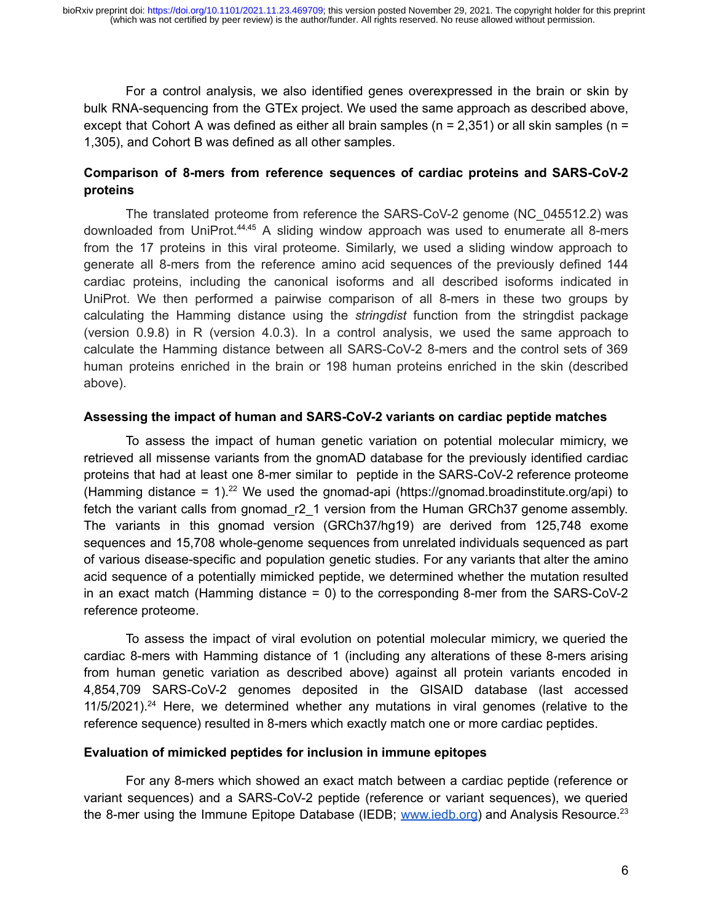For a control analysis, we also identified genes overexpressed in the brain or skin by bulk RNA-sequencing from the GTEx project. We used the same approach as described above, except that Cohort A was defined as either all brain samples ( $n = 2,351$ ) or all skin samples ( $n =$ 1,305), and Cohort B was defined as all other samples.

### **Comparison of 8-mers from reference sequences of cardiac proteins and SARS-CoV-2 proteins**

The translated proteome from reference the SARS-CoV-2 genome (NC\_045512.2) was downloaded from UniProt.<sup>[44,45](https://paperpile.com/c/52CHnb/NNNH+IA5B)</sup> A sliding window approach was used to enumerate all 8-mers from the 17 proteins in this viral proteome. Similarly, we used a sliding window approach to generate all 8-mers from the reference amino acid sequences of the previously defined 144 cardiac proteins, including the canonical isoforms and all described isoforms indicated in UniProt. We then performed a pairwise comparison of all 8-mers in these two groups by calculating the Hamming distance using the *stringdist* function from the stringdist package (version 0.9.8) in R (version 4.0.3). In a control analysis, we used the same approach to calculate the Hamming distance between all SARS-CoV-2 8-mers and the control sets of 369 human proteins enriched in the brain or 198 human proteins enriched in the skin (described above).

#### **Assessing the impact of human and SARS-CoV-2 variants on cardiac peptide matches**

To assess the impact of human genetic variation on potential molecular mimicry, we retrieved all missense variants from the gnomAD database for the previously identified cardiac proteins that had at least one 8-mer similar to peptide in the SARS-CoV-2 reference proteome (Hamming distance = 1).<sup>[22](https://paperpile.com/c/52CHnb/40bD)</sup> We used the gnomad-api (https://gnomad.broadinstitute.org/api) to fetch the variant calls from gnomad r2 1 version from the Human GRCh37 genome assembly. The variants in this gnomad version (GRCh37/hg19) are derived from 125,748 exome sequences and 15,708 whole-genome sequences from unrelated individuals sequenced as part of various disease-specific and population genetic studies. For any variants that alter the amino acid sequence of a potentially mimicked peptide, we determined whether the mutation resulted in an exact match (Hamming distance  $= 0$ ) to the corresponding 8-mer from the SARS-CoV-2 reference proteome.

To assess the impact of viral evolution on potential molecular mimicry, we queried the cardiac 8-mers with Hamming distance of 1 (including any alterations of these 8-mers arising from human genetic variation as described above) against all protein variants encoded in 4,854,709 SARS-CoV-2 genomes deposited in the GISAID database (last accessed  $11/5/2021$ )<sup>[24](https://paperpile.com/c/52CHnb/Mo9T)</sup> Here, we determined whether any mutations in viral genomes (relative to the reference sequence) resulted in 8-mers which exactly match one or more cardiac peptides.

#### **Evaluation of mimicked peptides for inclusion in immune epitopes**

For any 8-mers which showed an exact match between a cardiac peptide (reference or variant sequences) and a SARS-CoV-2 peptide (reference or variant sequences), we queried the 8-mer using the Immune Epitope Database (IEDB; www.jedb.org) and Analysis Resource.<sup>[23](https://paperpile.com/c/52CHnb/EvqS)</sup>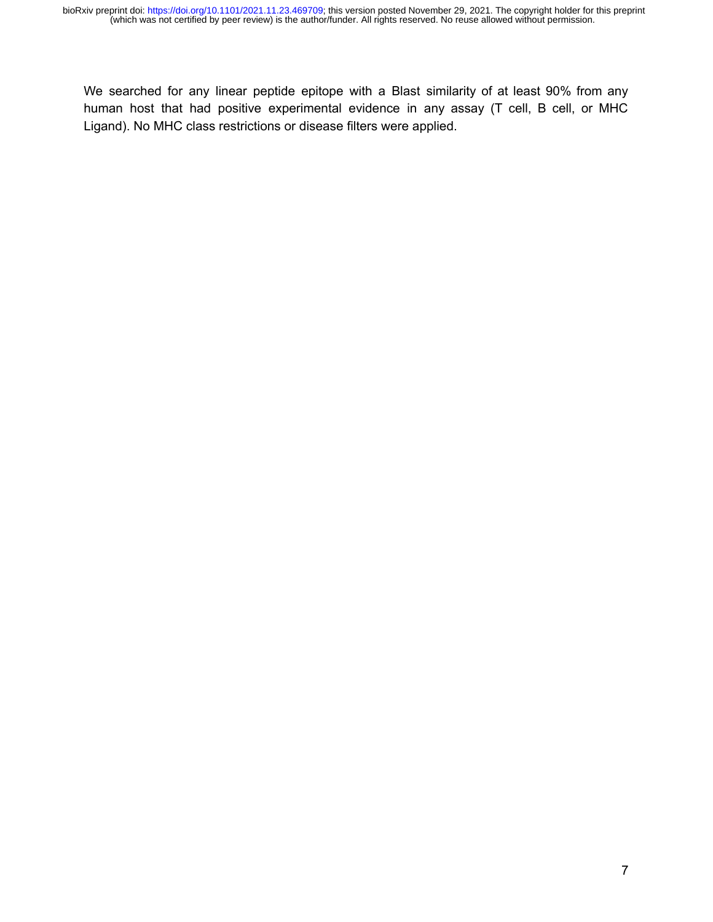We searched for any linear peptide epitope with a Blast similarity of at least 90% from any human host that had positive experimental evidence in any assay (T cell, B cell, or MHC Ligand). No MHC class restrictions or disease filters were applied.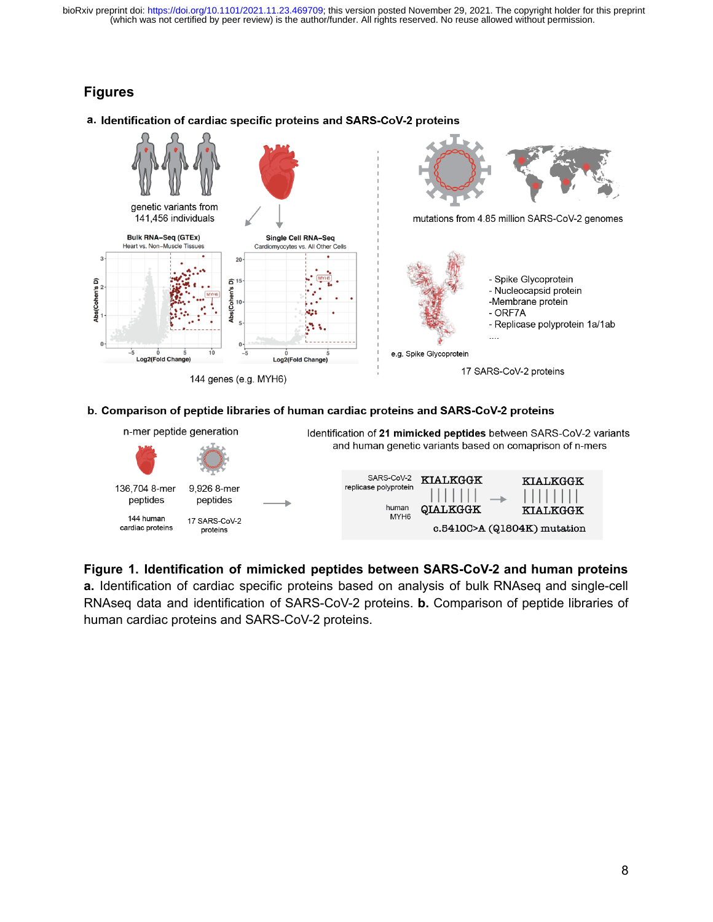## **Figures**



#### a. Identification of cardiac specific proteins and SARS-CoV-2 proteins

#### b. Comparison of peptide libraries of human cardiac proteins and SARS-CoV-2 proteins



**Figure 1. Identification of mimicked peptides between SARS-CoV-2 and human proteins a.** Identification of cardiac specific proteins based on analysis of bulk RNAseq and single-cell RNAseq data and identification of SARS-CoV-2 proteins. **b.** Comparison of peptide libraries of human cardiac proteins and SARS-CoV-2 proteins.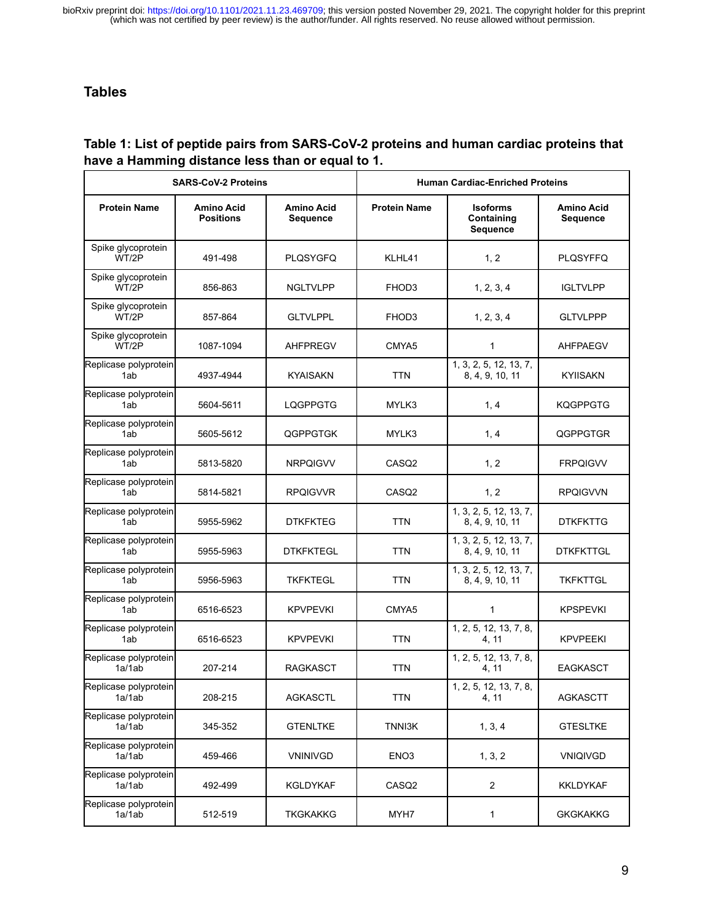## **Tables**

### **Table 1: List of peptide pairs from SARS-CoV-2 proteins and human cardiac proteins that have a Hamming distance less than or equal to 1.**

| <b>SARS-CoV-2 Proteins</b>      |                                       |                                      | <b>Human Cardiac-Enriched Proteins</b> |                                           |                                      |  |
|---------------------------------|---------------------------------------|--------------------------------------|----------------------------------------|-------------------------------------------|--------------------------------------|--|
| <b>Protein Name</b>             | <b>Amino Acid</b><br><b>Positions</b> | <b>Amino Acid</b><br><b>Sequence</b> | <b>Protein Name</b>                    | <b>Isoforms</b><br>Containing<br>Sequence | <b>Amino Acid</b><br><b>Sequence</b> |  |
| Spike glycoprotein<br>WT/2P     | 491-498                               | <b>PLOSYGFQ</b>                      | KLHL41                                 | 1, 2                                      | <b>PLQSYFFQ</b>                      |  |
| Spike glycoprotein<br>WT/2P     | 856-863                               | <b>NGLTVLPP</b>                      | FHOD3                                  | 1, 2, 3, 4                                | <b>IGLTVLPP</b>                      |  |
| Spike glycoprotein<br>WT/2P     | 857-864                               | <b>GLTVLPPL</b>                      | FHOD3                                  | 1, 2, 3, 4                                | <b>GLTVLPPP</b>                      |  |
| Spike glycoprotein<br>WT/2P     | 1087-1094                             | <b>AHFPREGV</b>                      | CMYA5                                  | 1                                         | <b>AHFPAEGV</b>                      |  |
| Replicase polyprotein<br>1ab    | 4937-4944                             | <b>KYAISAKN</b>                      | <b>TTN</b>                             | 1, 3, 2, 5, 12, 13, 7,<br>8, 4, 9, 10, 11 | <b>KYIISAKN</b>                      |  |
| Replicase polyprotein<br>1ab    | 5604-5611                             | <b>LQGPPGTG</b>                      | MYLK3                                  | 1, 4                                      | <b>KQGPPGTG</b>                      |  |
| Replicase polyprotein<br>1ab    | 5605-5612                             | <b>QGPPGTGK</b>                      | MYLK3                                  | 1, 4                                      | QGPPGTGR                             |  |
| Replicase polyprotein<br>1ab    | 5813-5820                             | <b>NRPQIGVV</b>                      | CASQ2                                  | 1, 2                                      | <b>FRPQIGVV</b>                      |  |
| Replicase polyprotein<br>1ab    | 5814-5821                             | <b>RPQIGVVR</b>                      | CASQ <sub>2</sub>                      | 1, 2                                      | <b>RPQIGVVN</b>                      |  |
| Replicase polyprotein<br>1ab    | 5955-5962                             | <b>DTKFKTEG</b>                      | <b>TTN</b>                             | 1, 3, 2, 5, 12, 13, 7,<br>8, 4, 9, 10, 11 | <b>DTKFKTTG</b>                      |  |
| Replicase polyprotein<br>1ab    | 5955-5963                             | <b>DTKFKTEGL</b>                     | <b>TTN</b>                             | 1, 3, 2, 5, 12, 13, 7,<br>8, 4, 9, 10, 11 | <b>DTKFKTTGL</b>                     |  |
| Replicase polyprotein<br>1ab    | 5956-5963                             | <b>TKFKTEGL</b>                      | <b>TTN</b>                             | 1, 3, 2, 5, 12, 13, 7,<br>8, 4, 9, 10, 11 | <b>TKFKTTGL</b>                      |  |
| Replicase polyprotein<br>1ab    | 6516-6523                             | <b>KPVPEVKI</b>                      | CMYA5                                  | 1                                         | <b>KPSPEVKI</b>                      |  |
| Replicase polyprotein<br>1ab    | 6516-6523                             | <b>KPVPEVKI</b>                      | <b>TTN</b>                             | 1, 2, 5, 12, 13, 7, 8,<br>4, 11           | <b>KPVPEEKI</b>                      |  |
| Replicase polyprotein<br>1a/1ab | 207-214                               | <b>RAGKASCT</b>                      | <b>TTN</b>                             | 1, 2, 5, 12, 13, 7, 8,<br>4, 11           | <b>EAGKASCT</b>                      |  |
| Replicase polyprotein<br>1a/1ab | 208-215                               | <b>AGKASCTL</b>                      | <b>TTN</b>                             | 1, 2, 5, 12, 13, 7, 8,<br>4, 11           | <b>AGKASCTT</b>                      |  |
| Replicase polyprotein<br>1a/1ab | 345-352                               | <b>GTENLTKE</b>                      | TNNI3K                                 | 1, 3, 4                                   | <b>GTESLTKE</b>                      |  |
| Replicase polyprotein<br>1a/1ab | 459-466                               | <b>VNINIVGD</b>                      | ENO <sub>3</sub>                       | 1, 3, 2                                   | <b>VNIQIVGD</b>                      |  |
| Replicase polyprotein<br>1a/1ab | 492-499                               | KGLDYKAF                             | CASQ <sub>2</sub>                      | $\overline{2}$                            | <b>KKLDYKAF</b>                      |  |
| Replicase polyprotein<br>1a/1ab | 512-519                               | <b>TKGKAKKG</b>                      | MYH7                                   | 1                                         | <b>GKGKAKKG</b>                      |  |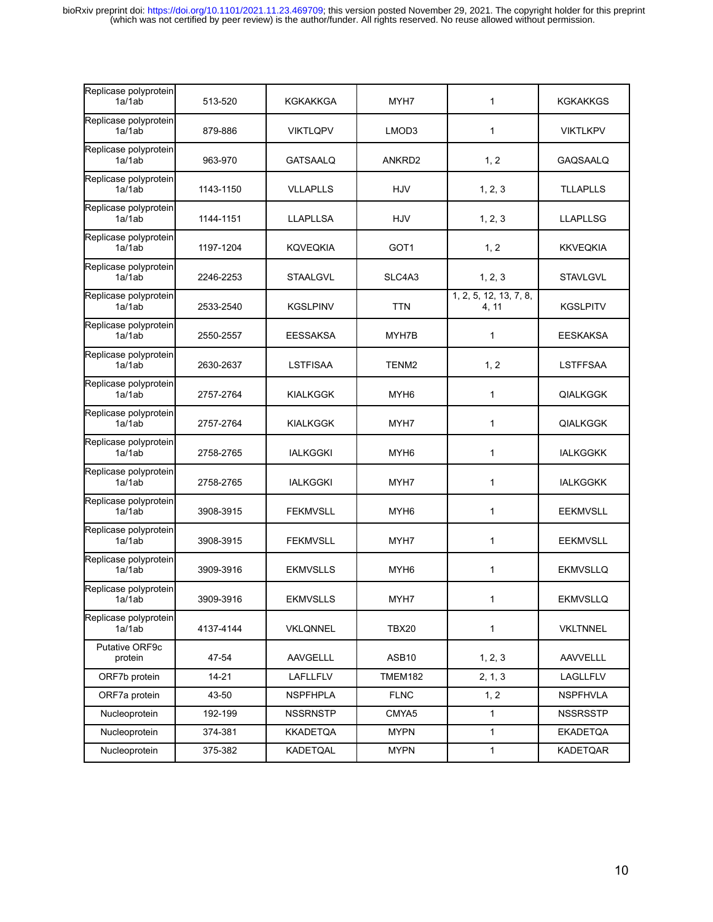| Replicase polyprotein<br>1a/1ab | 513-520   | KGKAKKGA        | MYH7             | 1                               | KGKAKKGS        |
|---------------------------------|-----------|-----------------|------------------|---------------------------------|-----------------|
| Replicase polyprotein<br>1a/1ab | 879-886   | <b>VIKTLQPV</b> | LMOD3            | 1                               | <b>VIKTLKPV</b> |
| Replicase polyprotein<br>1a/1ab | 963-970   | <b>GATSAALQ</b> | ANKRD2           | 1, 2                            | GAQSAALQ        |
| Replicase polyprotein<br>1a/1ab | 1143-1150 | <b>VLLAPLLS</b> | HJV              | 1, 2, 3                         | <b>TLLAPLLS</b> |
| Replicase polyprotein<br>1a/1ab | 1144-1151 | <b>LLAPLLSA</b> | HJV              | 1, 2, 3                         | <b>LLAPLLSG</b> |
| Replicase polyprotein<br>1a/1ab | 1197-1204 | <b>KQVEQKIA</b> | GOT <sub>1</sub> | 1, 2                            | <b>KKVEQKIA</b> |
| Replicase polyprotein<br>1a/1ab | 2246-2253 | <b>STAALGVL</b> | SLC4A3           | 1, 2, 3                         | <b>STAVLGVL</b> |
| Replicase polyprotein<br>1a/1ab | 2533-2540 | <b>KGSLPINV</b> | <b>TTN</b>       | 1, 2, 5, 12, 13, 7, 8,<br>4, 11 | <b>KGSLPITV</b> |
| Replicase polyprotein<br>1a/1ab | 2550-2557 | <b>EESSAKSA</b> | MYH7B            | 1                               | <b>EESKAKSA</b> |
| Replicase polyprotein<br>1a/1ab | 2630-2637 | LSTFISAA        | TENM2            | 1, 2                            | <b>LSTFFSAA</b> |
| Replicase polyprotein<br>1a/1ab | 2757-2764 | <b>KIALKGGK</b> | MYH <sub>6</sub> | 1                               | <b>QIALKGGK</b> |
| Replicase polyprotein<br>1a/1ab | 2757-2764 | <b>KIALKGGK</b> | MYH7             | 1                               | <b>QIALKGGK</b> |
| Replicase polyprotein<br>1a/1ab | 2758-2765 | <b>IALKGGKI</b> | MYH6             | 1                               | <b>IALKGGKK</b> |
| Replicase polyprotein<br>1a/1ab | 2758-2765 | <b>IALKGGKI</b> | MYH7             | 1                               | <b>IALKGGKK</b> |
| Replicase polyprotein<br>1a/1ab | 3908-3915 | <b>FEKMVSLL</b> | MYH <sub>6</sub> | 1                               | <b>EEKMVSLL</b> |
| Replicase polyprotein<br>1a/1ab | 3908-3915 | <b>FEKMVSLL</b> | MYH7             | 1                               | <b>EEKMVSLL</b> |
| Replicase polyprotein<br>1a/1ab | 3909-3916 | <b>EKMVSLLS</b> | MYH <sub>6</sub> | 1                               | <b>EKMVSLLQ</b> |
| Replicase polyprotein<br>1a/1ab | 3909-3916 | <b>EKMVSLLS</b> | MYH7             | 1.                              | <b>EKMVSLLQ</b> |
| Replicase polyprotein<br>1a/1ab | 4137-4144 | <b>VKLQNNEL</b> | <b>TBX20</b>     | 1                               | <b>VKLTNNEL</b> |
| Putative ORF9c<br>protein       | 47-54     | AAVGELLL        | ASB10            | 1, 2, 3                         | <b>AAVVELLL</b> |
| ORF7b protein                   | $14 - 21$ | LAFLLFLV        | <b>TMEM182</b>   | 2, 1, 3                         | LAGLLFLV        |
| ORF7a protein                   | 43-50     | <b>NSPFHPLA</b> | <b>FLNC</b>      | 1, 2                            | <b>NSPFHVLA</b> |
| Nucleoprotein                   | 192-199   | <b>NSSRNSTP</b> | CMYA5            | 1                               | <b>NSSRSSTP</b> |
| Nucleoprotein                   | 374-381   | <b>KKADETQA</b> | <b>MYPN</b>      | 1                               | <b>EKADETQA</b> |
| Nucleoprotein                   | 375-382   | KADETQAL        | <b>MYPN</b>      | 1                               | <b>KADETQAR</b> |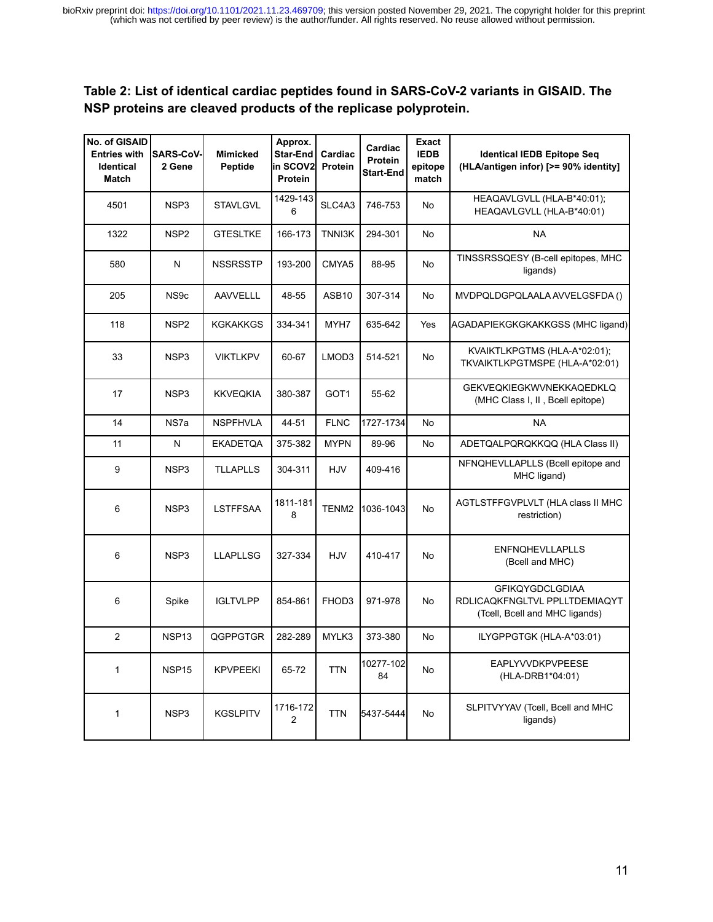### **Table 2: List of identical cardiac peptides found in SARS-CoV-2 variants in GISAID. The NSP proteins are cleaved products of the replicase polyprotein.**

| No. of GISAID<br><b>Entries with</b><br><b>Identical</b><br><b>Match</b> | <b>SARS-CoV-</b><br>2 Gene | <b>Mimicked</b><br>Peptide | Approx.<br>Star-End<br>in SCOV2l<br>Protein | Cardiac<br>Protein | Cardiac<br>Protein<br><b>Start-End</b> | <b>Exact</b><br><b>IEDB</b><br>epitope<br>match | <b>Identical IEDB Epitope Seq</b><br>(HLA/antigen infor) [>= 90% identity]                |
|--------------------------------------------------------------------------|----------------------------|----------------------------|---------------------------------------------|--------------------|----------------------------------------|-------------------------------------------------|-------------------------------------------------------------------------------------------|
| 4501                                                                     | NSP <sub>3</sub>           | <b>STAVLGVL</b>            | 1429-143<br>6                               | SLC4A3             | 746-753                                | <b>No</b>                                       | HEAQAVLGVLL (HLA-B*40:01);<br>HEAQAVLGVLL (HLA-B*40:01)                                   |
| 1322                                                                     | NSP <sub>2</sub>           | <b>GTESLTKE</b>            | 166-173                                     | TNNI3K             | 294-301                                | <b>No</b>                                       | <b>NA</b>                                                                                 |
| 580                                                                      | N                          | <b>NSSRSSTP</b>            | 193-200                                     | CMYA5              | 88-95                                  | <b>No</b>                                       | TINSSRSSQESY (B-cell epitopes, MHC<br>ligands)                                            |
| 205                                                                      | NS9c                       | <b>AAVVELLL</b>            | 48-55                                       | ASB10              | 307-314                                | No.                                             | MVDPQLDGPQLAALA AVVELGSFDA ()                                                             |
| 118                                                                      | NSP <sub>2</sub>           | KGKAKKGS                   | 334-341                                     | MYH7               | 635-642                                | Yes                                             | AGADAPIEKGKGKAKKGSS (MHC ligand)                                                          |
| 33                                                                       | NSP3                       | <b>VIKTLKPV</b>            | 60-67                                       | LMOD3              | 514-521                                | No                                              | KVAIKTLKPGTMS (HLA-A*02:01);<br>TKVAIKTLKPGTMSPE (HLA-A*02:01)                            |
| 17                                                                       | NSP3                       | <b>KKVEQKIA</b>            | 380-387                                     | GOT <sub>1</sub>   | 55-62                                  |                                                 | GEKVEQKIEGKWVNEKKAQEDKLQ<br>(MHC Class I, II, Bcell epitope)                              |
| 14                                                                       | NS7a                       | <b>NSPFHVLA</b>            | 44-51                                       | <b>FLNC</b>        | 1727-1734                              | <b>No</b>                                       | <b>NA</b>                                                                                 |
| 11                                                                       | N                          | <b>EKADETQA</b>            | 375-382                                     | <b>MYPN</b>        | 89-96                                  | No                                              | ADETQALPQRQKKQQ (HLA Class II)                                                            |
| 9                                                                        | NSP3                       | <b>TLLAPLLS</b>            | 304-311                                     | HJV                | 409-416                                |                                                 | NFNQHEVLLAPLLS (Bcell epitope and<br>MHC ligand)                                          |
| 6                                                                        | NSP3                       | <b>LSTFFSAA</b>            | 1811-181<br>8                               | TENM <sub>2</sub>  | 1036-1043                              | <b>No</b>                                       | AGTLSTFFGVPLVLT (HLA class II MHC<br>restriction)                                         |
| 6                                                                        | NSP <sub>3</sub>           | <b>LLAPLLSG</b>            | 327-334                                     | HJV                | 410-417                                | No                                              | <b>ENFNQHEVLLAPLLS</b><br>(Bcell and MHC)                                                 |
| 6                                                                        | Spike                      | <b>IGLTVLPP</b>            | 854-861                                     | FHOD3              | 971-978                                | No                                              | <b>GFIKQYGDCLGDIAA</b><br>RDLICAQKFNGLTVL PPLLTDEMIAQYT<br>(Tcell, Bcell and MHC ligands) |
| 2                                                                        | NSP <sub>13</sub>          | QGPPGTGR                   | 282-289                                     | MYLK3              | 373-380                                | No                                              | ILYGPPGTGK (HLA-A*03:01)                                                                  |
| 1                                                                        | NSP <sub>15</sub>          | <b>KPVPEEKI</b>            | 65-72                                       | <b>TTN</b>         | 10277-102<br>84                        | <b>No</b>                                       | <b>EAPLYVVDKPVPEESE</b><br>(HLA-DRB1*04:01)                                               |
| 1                                                                        | NSP3                       | <b>KGSLPITV</b>            | 1716-172<br>$\overline{2}$                  | <b>TTN</b>         | 5437-5444                              | <b>No</b>                                       | SLPITVYYAV (Tcell, Bcell and MHC<br>ligands)                                              |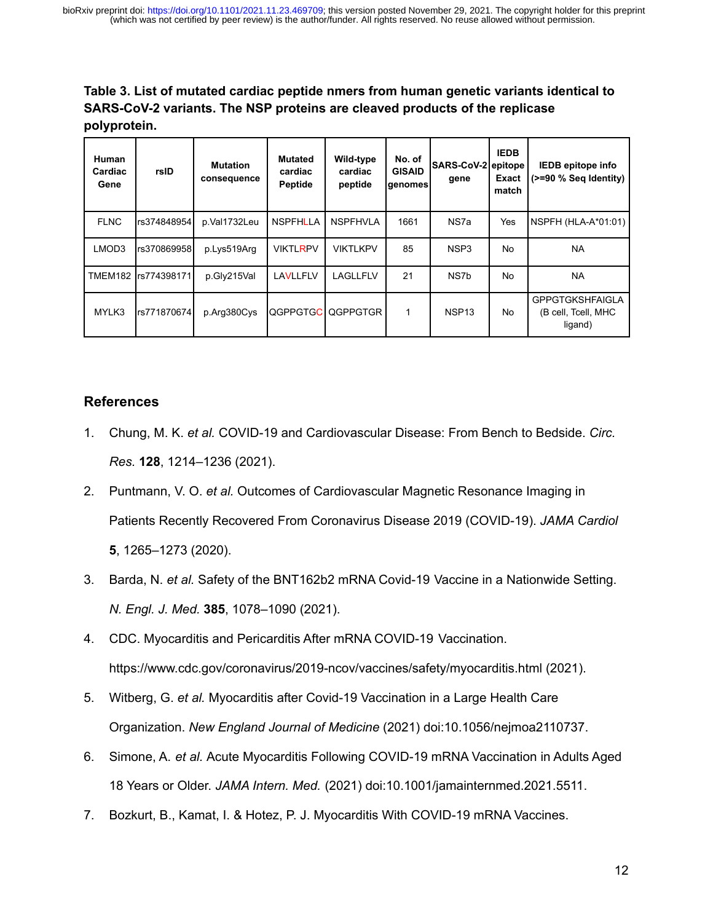**Table 3. List of mutated cardiac peptide nmers from human genetic variants identical to SARS-CoV-2 variants. The NSP proteins are cleaved products of the replicase polyprotein.**

| <b>Human</b><br>Cardiac<br>Gene | rsID                 | <b>Mutation</b><br>consequence | <b>Mutated</b><br>cardiac<br>Peptide | Wild-type<br>cardiac<br>peptide | No. of<br><b>GISAID</b><br>genomes | SARS-CoV-2 epitope<br>gene | <b>IEDB</b><br><b>Exact</b><br>match | <b>IEDB</b> epitope info<br>(>=90 % Seq Identity)        |
|---------------------------------|----------------------|--------------------------------|--------------------------------------|---------------------------------|------------------------------------|----------------------------|--------------------------------------|----------------------------------------------------------|
| <b>FLNC</b>                     | rs374848954          | p.Val1732Leu                   | <b>NSPFHLLA</b>                      | <b>NSPFHVLA</b>                 | 1661                               | NS7a                       | Yes                                  | $NSPFH$ (HLA-A*01:01)                                    |
| LMOD3                           | rs3708699581         | p.Lys519Arg                    | <b>VIKTLRPV</b>                      | VIKTLKPV                        | 85                                 | NSP3                       | No.                                  | <b>NA</b>                                                |
|                                 | TMEM182 Irs774398171 | p.Gly215Val                    | LAVLLFLV                             | LAGLLFLV                        | 21                                 | NS7b                       | No.                                  | <b>NA</b>                                                |
| MYLK3                           | rs771870674          | p.Arg380Cys                    | QGPPGTGC                             | QGPPGTGR                        | 1                                  | NSP <sub>13</sub>          | No.                                  | <b>GPPGTGKSHFAIGLA</b><br>(B cell, Tcell, MHC<br>ligand) |

### **References**

- 1. Chung, M. K. *et al.* [COVID-19 and Cardiovascular Disease: From Bench to Bedside.](http://paperpile.com/b/52CHnb/CBYe) *Circ. Res.* **128**[, 1214–1236 \(2021\).](http://paperpile.com/b/52CHnb/CBYe)
- 2. Puntmann, V. O. *et al.* [Outcomes of Cardiovascular Magnetic Resonance Imaging in](http://paperpile.com/b/52CHnb/3eX3) [Patients Recently Recovered From Coronavirus Disease 2019 \(COVID-19\).](http://paperpile.com/b/52CHnb/3eX3) *JAMA Cardiol* **5**[, 1265–1273 \(2020\).](http://paperpile.com/b/52CHnb/3eX3)
- 3. Barda, N. *et al.* [Safety of the BNT162b2 mRNA Covid-19 Vaccine in a Nationwide Setting.](http://paperpile.com/b/52CHnb/QsqN) *N. Engl. J. Med.* **385**[, 1078–1090 \(2021\).](http://paperpile.com/b/52CHnb/QsqN)
- 4. [CDC. Myocarditis and Pericarditis After mRNA COVID-19 Vaccination.](http://paperpile.com/b/52CHnb/DhxU) <https://www.cdc.gov/coronavirus/2019-ncov/vaccines/safety/myocarditis.html> [\(2021\).](http://paperpile.com/b/52CHnb/DhxU)
- 5. Witberg, G. *et al.* [Myocarditis after Covid-19 Vaccination in a Large Health Care](http://paperpile.com/b/52CHnb/Z44j) Organization. *[New England Journal of Medicine](http://paperpile.com/b/52CHnb/Z44j)* (2021) doi:[10.1056/nejmoa2110737](http://dx.doi.org/10.1056/nejmoa2110737)[.](http://paperpile.com/b/52CHnb/Z44j)
- 6. Simone, A. *et al.* [Acute Myocarditis Following COVID-19 mRNA Vaccination in Adults Aged](http://paperpile.com/b/52CHnb/0MtI) 18 Years or Older. *[JAMA Intern. Med.](http://paperpile.com/b/52CHnb/0MtI)* (2021) doi:[10.1001/jamainternmed.2021.5511](http://dx.doi.org/10.1001/jamainternmed.2021.5511)[.](http://paperpile.com/b/52CHnb/0MtI)
- 7. [Bozkurt, B., Kamat, I. & Hotez, P. J. Myocarditis With COVID-19 mRNA Vaccines.](http://paperpile.com/b/52CHnb/1yCJ)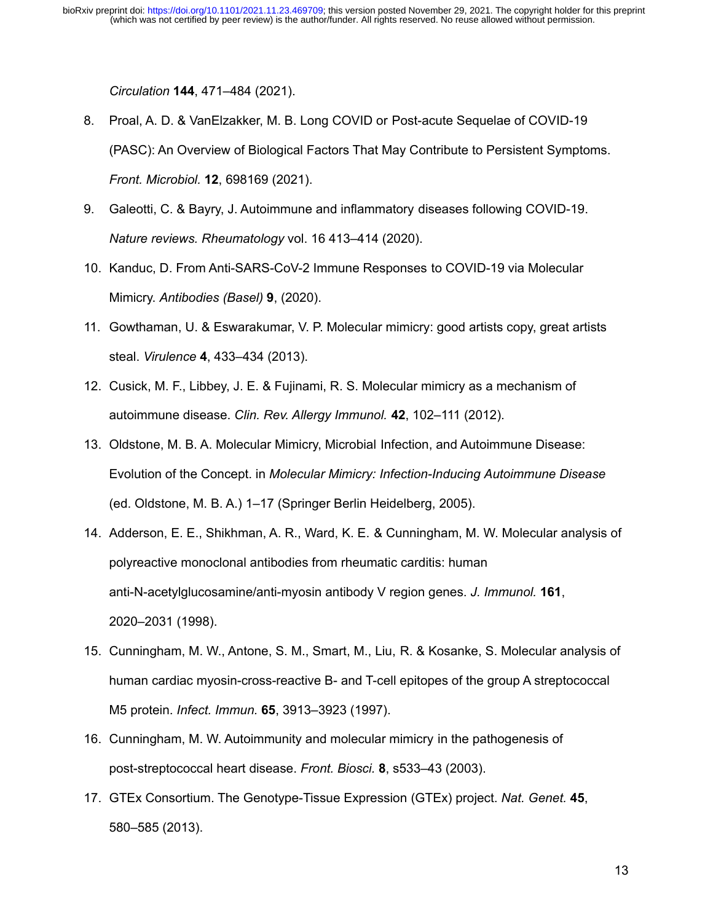*Circulation* **144**[, 471–484 \(2021\).](http://paperpile.com/b/52CHnb/1yCJ)

- 8. [Proal, A. D. & VanElzakker, M. B. Long COVID or Post-acute Sequelae of COVID-19](http://paperpile.com/b/52CHnb/PjbH) [\(PASC\): An Overview of Biological Factors That May Contribute to Persistent Symptoms.](http://paperpile.com/b/52CHnb/PjbH) *Front. Microbiol.* **12**[, 698169 \(2021\).](http://paperpile.com/b/52CHnb/PjbH)
- 9. [Galeotti, C. & Bayry, J. Autoimmune and inflammatory diseases following COVID-19.](http://paperpile.com/b/52CHnb/7lGC) *[Nature reviews. Rheumatology](http://paperpile.com/b/52CHnb/7lGC)* vol. 16 413–414 (2020).
- 10. [Kanduc, D. From Anti-SARS-CoV-2 Immune Responses to COVID-19 via Molecular](http://paperpile.com/b/52CHnb/3YyR) Mimicry. *[Antibodies \(Basel\)](http://paperpile.com/b/52CHnb/3YyR)* **9**, (2020).
- 11. [Gowthaman, U. & Eswarakumar, V. P. Molecular mimicry: good artists copy, great artists](http://paperpile.com/b/52CHnb/0spn) steal. *Virulence* **4**[, 433–434 \(2013\).](http://paperpile.com/b/52CHnb/0spn)
- 12. [Cusick, M. F., Libbey, J. E. & Fujinami, R. S. Molecular mimicry as a mechanism of](http://paperpile.com/b/52CHnb/ODxF) autoimmune disease. *[Clin. Rev. Allergy Immunol.](http://paperpile.com/b/52CHnb/ODxF)* **42**, 102–111 (2012).
- 13. [Oldstone, M. B. A. Molecular Mimicry, Microbial Infection, and Autoimmune Disease:](http://paperpile.com/b/52CHnb/eLki) Evolution of the Concept. in *[Molecular Mimicry: Infection-Inducing Autoimmune Disease](http://paperpile.com/b/52CHnb/eLki)* [\(ed. Oldstone, M. B. A.\) 1–17 \(Springer Berlin Heidelberg, 2005\).](http://paperpile.com/b/52CHnb/eLki)
- 14. [Adderson, E. E., Shikhman, A. R., Ward, K. E. & Cunningham, M. W. Molecular analysis of](http://paperpile.com/b/52CHnb/NBUv) [polyreactive monoclonal antibodies from rheumatic carditis: human](http://paperpile.com/b/52CHnb/NBUv) [anti-N-acetylglucosamine/anti-myosin antibody V region genes.](http://paperpile.com/b/52CHnb/NBUv) *J. Immunol.* **161**, [2020–2031 \(1998\).](http://paperpile.com/b/52CHnb/NBUv)
- 15. [Cunningham, M. W., Antone, S. M., Smart, M., Liu, R. & Kosanke, S. Molecular analysis of](http://paperpile.com/b/52CHnb/99dY) [human cardiac myosin-cross-reactive B- and T-cell epitopes of the group A streptococcal](http://paperpile.com/b/52CHnb/99dY) M5 protein. *Infect. Immun.* **65**[, 3913–3923 \(1997\).](http://paperpile.com/b/52CHnb/99dY)
- 16. [Cunningham, M. W. Autoimmunity and molecular mimicry in the pathogenesis of](http://paperpile.com/b/52CHnb/PCcH) [post-streptococcal heart disease.](http://paperpile.com/b/52CHnb/PCcH) *Front. Biosci.* **8**, s533–43 (2003).
- 17. [GTEx Consortium. The Genotype-Tissue Expression \(GTEx\) project.](http://paperpile.com/b/52CHnb/MyCa) *Nat. Genet.* **45**, [580–585 \(2013\).](http://paperpile.com/b/52CHnb/MyCa)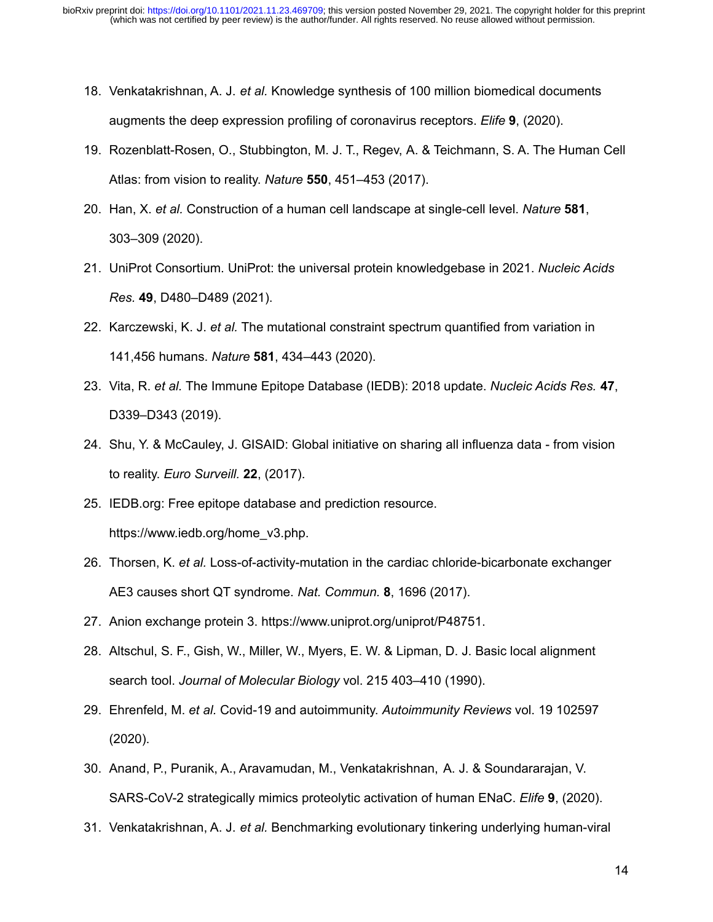- 18. Venkatakrishnan, A. J. *et al.* [Knowledge synthesis of 100 million biomedical documents](http://paperpile.com/b/52CHnb/TQK4) [augments the deep expression profiling of coronavirus receptors.](http://paperpile.com/b/52CHnb/TQK4) *Elife* **9**, (2020).
- 19. [Rozenblatt-Rosen, O., Stubbington, M. J. T., Regev, A. & Teichmann, S. A. The Human Cell](http://paperpile.com/b/52CHnb/Sj4l) [Atlas: from vision to reality.](http://paperpile.com/b/52CHnb/Sj4l) *Nature* **550**, 451–453 (2017).
- 20. Han, X. *et al.* [Construction of a human cell landscape at single-cell level.](http://paperpile.com/b/52CHnb/UHNC) *Nature* **581**, [303–309 \(2020\).](http://paperpile.com/b/52CHnb/UHNC)
- 21. [UniProt Consortium. UniProt: the universal protein knowledgebase in 2021.](http://paperpile.com/b/52CHnb/yWF4) *Nucleic Acids Res.* **49**[, D480–D489 \(2021\).](http://paperpile.com/b/52CHnb/yWF4)
- 22. Karczewski, K. J. *et al.* [The mutational constraint spectrum quantified from variation in](http://paperpile.com/b/52CHnb/40bD) 141,456 humans. *Nature* **581**[, 434–443 \(2020\).](http://paperpile.com/b/52CHnb/40bD)
- 23. Vita, R. *et al.* [The Immune Epitope Database \(IEDB\): 2018 update.](http://paperpile.com/b/52CHnb/EvqS) *Nucleic Acids Res.* **47**, [D339–D343 \(2019\).](http://paperpile.com/b/52CHnb/EvqS)
- 24. [Shu, Y. & McCauley, J. GISAID: Global initiative on sharing all influenza data from vision](http://paperpile.com/b/52CHnb/Mo9T) to reality. *[Euro Surveill.](http://paperpile.com/b/52CHnb/Mo9T)* **22**, (2017).
- 25. [IEDB.org: Free epitope database and prediction resource.](http://paperpile.com/b/52CHnb/57Rd) [https://www.iedb.org/home\\_v3.php](https://www.iedb.org/home_v3.php)[.](http://paperpile.com/b/52CHnb/57Rd)
- 26. Thorsen, K. *et al.* [Loss-of-activity-mutation in the cardiac chloride-bicarbonate exchanger](http://paperpile.com/b/52CHnb/dDmH) [AE3 causes short QT syndrome.](http://paperpile.com/b/52CHnb/dDmH) *Nat. Commun.* **8**, 1696 (2017).
- 27. [Anion exchange protein 3.](http://paperpile.com/b/52CHnb/CLCV) <https://www.uniprot.org/uniprot/P48751>[.](http://paperpile.com/b/52CHnb/CLCV)
- 28. [Altschul, S. F., Gish, W., Miller, W., Myers, E. W. & Lipman, D. J. Basic local alignment](http://paperpile.com/b/52CHnb/0NPf) search tool. *Journal of Molecular Biology* [vol. 215 403–410 \(1990\).](http://paperpile.com/b/52CHnb/0NPf)
- 29. Ehrenfeld, M. *et al.* [Covid-19 and autoimmunity.](http://paperpile.com/b/52CHnb/fIgO) *Autoimmunity Reviews* vol. 19 102597 [\(2020\).](http://paperpile.com/b/52CHnb/fIgO)
- 30. [Anand, P., Puranik, A., Aravamudan, M., Venkatakrishnan, A. J. & Soundararajan, V.](http://paperpile.com/b/52CHnb/XVKm) [SARS-CoV-2 strategically mimics proteolytic activation of human ENaC.](http://paperpile.com/b/52CHnb/XVKm) *Elife* **9**, (2020).
- 31. Venkatakrishnan, A. J. *et al.* [Benchmarking evolutionary tinkering underlying human-viral](http://paperpile.com/b/52CHnb/2jqB)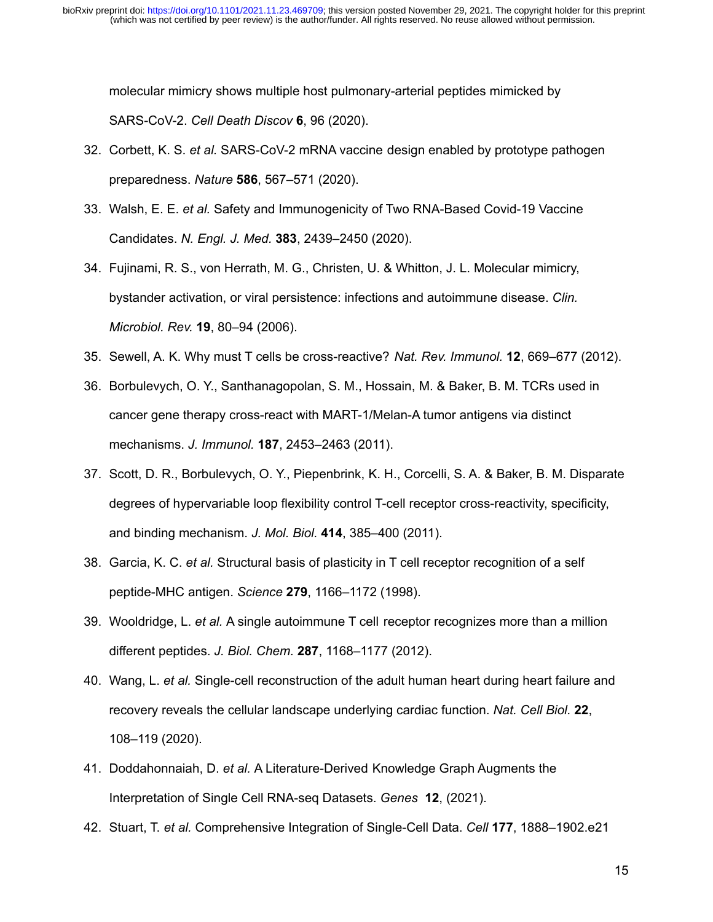[molecular mimicry shows multiple host pulmonary-arterial peptides mimicked by](http://paperpile.com/b/52CHnb/2jqB) SARS-CoV-2. *[Cell Death Discov](http://paperpile.com/b/52CHnb/2jqB)* **6**, 96 (2020).

- 32. Corbett, K. S. *et al.* [SARS-CoV-2 mRNA vaccine design enabled by prototype pathogen](http://paperpile.com/b/52CHnb/8iTf) preparedness. *Nature* **586**[, 567–571 \(2020\).](http://paperpile.com/b/52CHnb/8iTf)
- 33. Walsh, E. E. *et al.* [Safety and Immunogenicity of Two RNA-Based Covid-19 Vaccine](http://paperpile.com/b/52CHnb/WGnZ) Candidates. *N. Engl. J. Med.* **383**[, 2439–2450 \(2020\).](http://paperpile.com/b/52CHnb/WGnZ)
- 34. [Fujinami, R. S., von Herrath, M. G., Christen, U. & Whitton, J. L. Molecular mimicry,](http://paperpile.com/b/52CHnb/FAz6) [bystander activation, or viral persistence: infections and autoimmune disease.](http://paperpile.com/b/52CHnb/FAz6) *Clin. Microbiol. Rev.* **19**[, 80–94 \(2006\).](http://paperpile.com/b/52CHnb/FAz6)
- 35. [Sewell, A. K. Why must T cells be cross-reactive?](http://paperpile.com/b/52CHnb/WTiy) *Nat. Rev. Immunol.* **12**, 669–677 (2012).
- 36. [Borbulevych, O. Y., Santhanagopolan, S. M., Hossain, M. & Baker, B. M. TCRs used in](http://paperpile.com/b/52CHnb/gOLz) [cancer gene therapy cross-react with MART-1/Melan-A tumor antigens via distinct](http://paperpile.com/b/52CHnb/gOLz) mechanisms. *J. Immunol.* **187**[, 2453–2463 \(2011\).](http://paperpile.com/b/52CHnb/gOLz)
- 37. [Scott, D. R., Borbulevych, O. Y., Piepenbrink, K. H., Corcelli, S. A. & Baker, B. M. Disparate](http://paperpile.com/b/52CHnb/ZwkM) [degrees of hypervariable loop flexibility control T-cell receptor cross-reactivity, specificity,](http://paperpile.com/b/52CHnb/ZwkM) [and binding mechanism.](http://paperpile.com/b/52CHnb/ZwkM) *J. Mol. Biol.* **414**, 385–400 (2011).
- 38. Garcia, K. C. *et al.* [Structural basis of plasticity in T cell receptor recognition of a self](http://paperpile.com/b/52CHnb/QDJl) [peptide-MHC antigen.](http://paperpile.com/b/52CHnb/QDJl) *Science* **279**, 1166–1172 (1998).
- 39. Wooldridge, L. *et al.* [A single autoimmune T cell receptor recognizes more than a million](http://paperpile.com/b/52CHnb/QY5f) different peptides. *J. Biol. Chem.* **287**[, 1168–1177 \(2012\).](http://paperpile.com/b/52CHnb/QY5f)
- 40. Wang, L. *et al.* [Single-cell reconstruction of the adult human heart during heart failure and](http://paperpile.com/b/52CHnb/MN6W) [recovery reveals the cellular landscape underlying cardiac function.](http://paperpile.com/b/52CHnb/MN6W) *Nat. Cell Biol.* **22**, [108–119 \(2020\).](http://paperpile.com/b/52CHnb/MN6W)
- 41. Doddahonnaiah, D. *et al.* [A Literature-Derived Knowledge Graph Augments the](http://paperpile.com/b/52CHnb/5ECL) [Interpretation of Single Cell RNA-seq Datasets.](http://paperpile.com/b/52CHnb/5ECL) *Genes* **12**, (2021).
- 42. Stuart, T. *et al.* [Comprehensive Integration of Single-Cell Data.](http://paperpile.com/b/52CHnb/rDoA) *Cell* **177**, 1888–1902.e21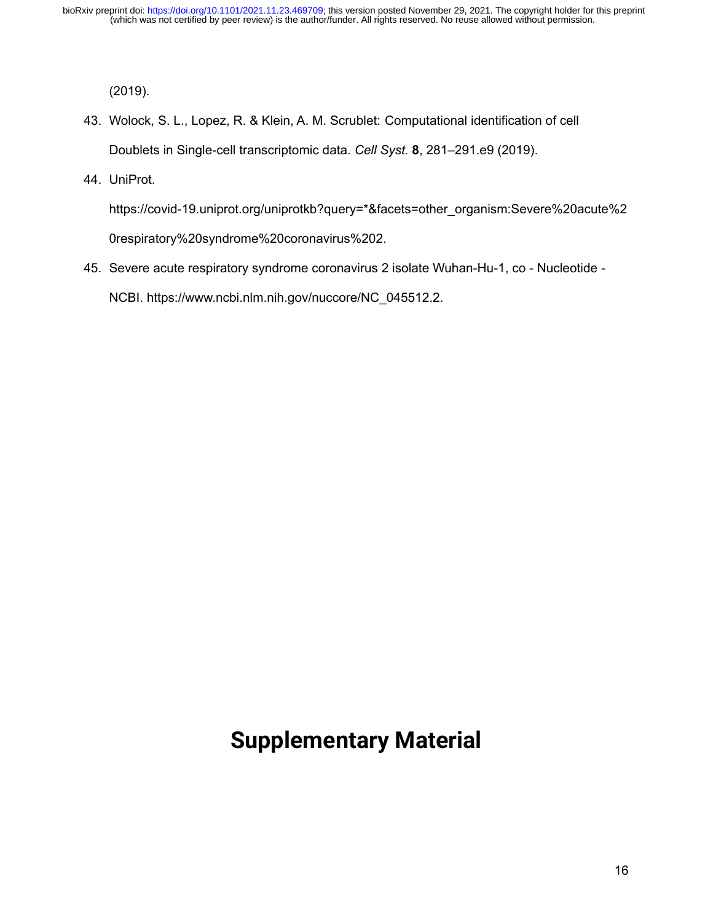[\(2019\).](http://paperpile.com/b/52CHnb/rDoA)

- 43. [Wolock, S. L., Lopez, R. & Klein, A. M. Scrublet: Computational identification of cell](http://paperpile.com/b/52CHnb/qCct) [Doublets in Single-cell transcriptomic data.](http://paperpile.com/b/52CHnb/qCct) *Cell Syst.* **8**, 281–291.e9 (2019).
- 44. [UniProt.](http://paperpile.com/b/52CHnb/NNNH)

[https://covid-19.uniprot.org/uniprotkb?query=\\*&facets=other\\_organism:Severe%20acute%2](https://covid-19.uniprot.org/uniprotkb?query=*&facets=other_organism:Severe%20acute%20respiratory%20syndrome%20coronavirus%202) [0respiratory%20syndrome%20coronavirus%202](https://covid-19.uniprot.org/uniprotkb?query=*&facets=other_organism:Severe%20acute%20respiratory%20syndrome%20coronavirus%202)[.](http://paperpile.com/b/52CHnb/NNNH)

45. [Severe acute respiratory syndrome coronavirus 2 isolate Wuhan-Hu-1, co - Nucleotide -](http://paperpile.com/b/52CHnb/IA5B) [NCBI.](http://paperpile.com/b/52CHnb/IA5B) [https://www.ncbi.nlm.nih.gov/nuccore/NC\\_045512.2](https://www.ncbi.nlm.nih.gov/nuccore/NC_045512.2)[.](http://paperpile.com/b/52CHnb/IA5B)

# **Supplementary Material**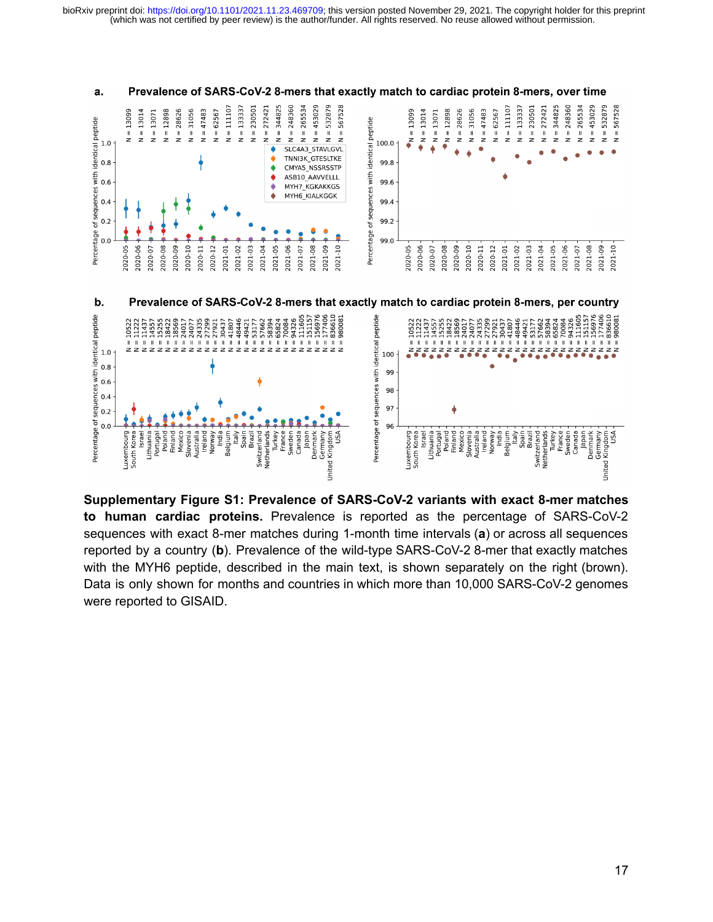

Prevalence of SARS-CoV-2 8-mers that exactly match to cardiac protein 8-mers, over time a.

**Supplementary Figure S1: Prevalence of SARS-CoV-2 variants with exact 8-mer matches to human cardiac proteins.** Prevalence is reported as the percentage of SARS-CoV-2 sequences with exact 8-mer matches during 1-month time intervals (**a**) or across all sequences reported by a country (**b**). Prevalence of the wild-type SARS-CoV-2 8-mer that exactly matches with the MYH6 peptide, described in the main text, is shown separately on the right (brown). Data is only shown for months and countries in which more than 10,000 SARS-CoV-2 genomes were reported to GISAID.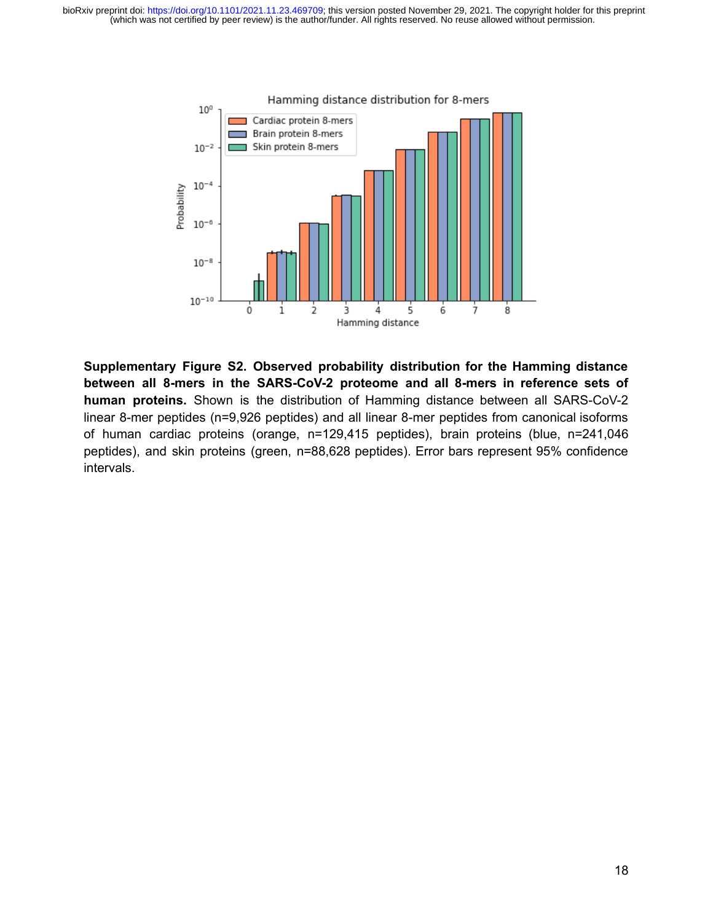

**Supplementary Figure S2. Observed probability distribution for the Hamming distance between all 8-mers in the SARS-CoV-2 proteome and all 8-mers in reference sets of human proteins.** Shown is the distribution of Hamming distance between all SARS-CoV-2 linear 8-mer peptides (n=9,926 peptides) and all linear 8-mer peptides from canonical isoforms of human cardiac proteins (orange, n=129,415 peptides), brain proteins (blue, n=241,046 peptides), and skin proteins (green, n=88,628 peptides). Error bars represent 95% confidence intervals.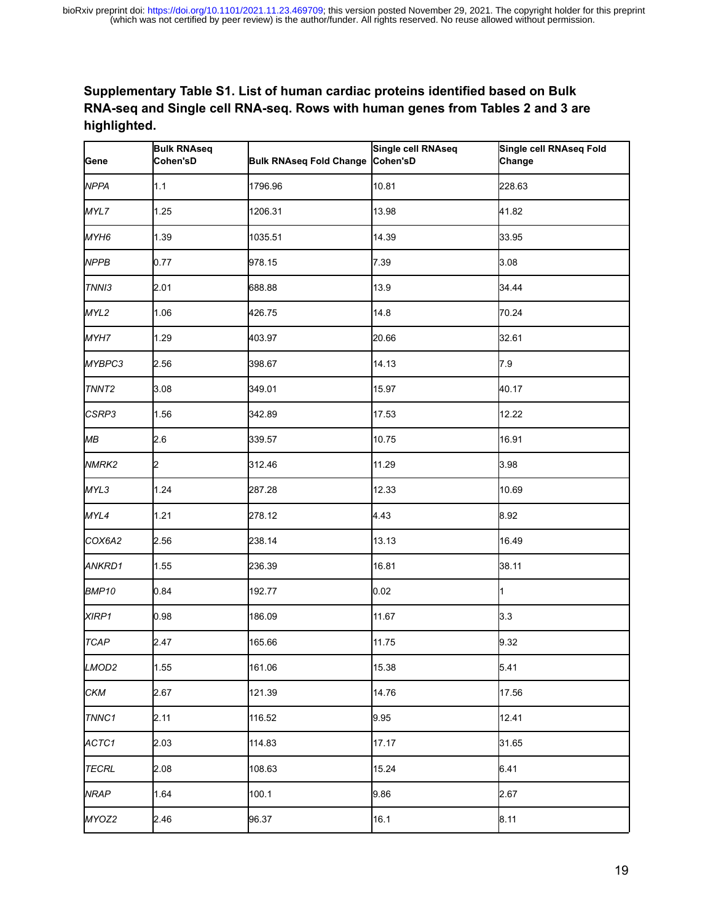### **Supplementary Table S1. List of human cardiac proteins identified based on Bulk RNA-seq and Single cell RNA-seq. Rows with human genes from Tables 2 and 3 are highlighted.**

| Gene              | <b>Bulk RNAseq</b><br>Cohen'sD | Bulk RNAseq Fold Change Cohen'sD | Single cell RNAseq | Single cell RNAseq Fold<br>Change |
|-------------------|--------------------------------|----------------------------------|--------------------|-----------------------------------|
| <b>NPPA</b>       | 1.1                            | 1796.96                          | 10.81              | 228.63                            |
| MYL7              | 1.25                           | 1206.31                          | 13.98              | 41.82                             |
| MYH6              | 1.39                           | 1035.51                          | 14.39              | 33.95                             |
| <b>NPPB</b>       | 0.77                           | 978.15                           | 7.39               | 3.08                              |
| TNNI3             | 2.01                           | 688.88                           | 13.9               | 34.44                             |
| MYL2              | 1.06                           | 426.75                           | 14.8               | 70.24                             |
| MYH7              | 1.29                           | 403.97                           | 20.66              | 32.61                             |
| MYBPC3            | 2.56                           | 398.67                           | 14.13              | 7.9                               |
| TNNT <sub>2</sub> | 3.08                           | 349.01                           | 15.97              | 40.17                             |
| CSRP3             | 1.56                           | 342.89                           | 17.53              | 12.22                             |
| МB                | 2.6                            | 339.57                           | 10.75              | 16.91                             |
| NMRK <sub>2</sub> | 2                              | 312.46                           | 11.29              | 3.98                              |
| MYL3              | 1.24                           | 287.28                           | 12.33              | 10.69                             |
| MYL4              | 1.21                           | 278.12                           | 4.43               | 8.92                              |
| COX6A2            | 2.56                           | 238.14                           | 13.13              | 16.49                             |
| ANKRD1            | 1.55                           | 236.39                           | 16.81              | 38.11                             |
| BMP <sub>10</sub> | 0.84                           | 192.77                           | 0.02               | $\mathbf{1}$                      |
| XIRP1             | 0.98                           | 186.09                           | 11.67              | 3.3                               |
| <b>TCAP</b>       | 2.47                           | 165.66                           | 11.75              | 9.32                              |
| LMOD2             | 1.55                           | 161.06                           | 15.38              | 5.41                              |
| <b>CKM</b>        | 2.67                           | 121.39                           | 14.76              | 17.56                             |
| TNNC1             | 2.11                           | 116.52                           | 9.95               | 12.41                             |
| ACTC1             | 2.03                           | 114.83                           | 17.17              | 31.65                             |
| <b>TECRL</b>      | 2.08                           | 108.63                           | 15.24              | 6.41                              |
| <b>NRAP</b>       | 1.64                           | 100.1                            | 9.86               | 2.67                              |
| MYOZ2             | 2.46                           | 96.37                            | 16.1               | 8.11                              |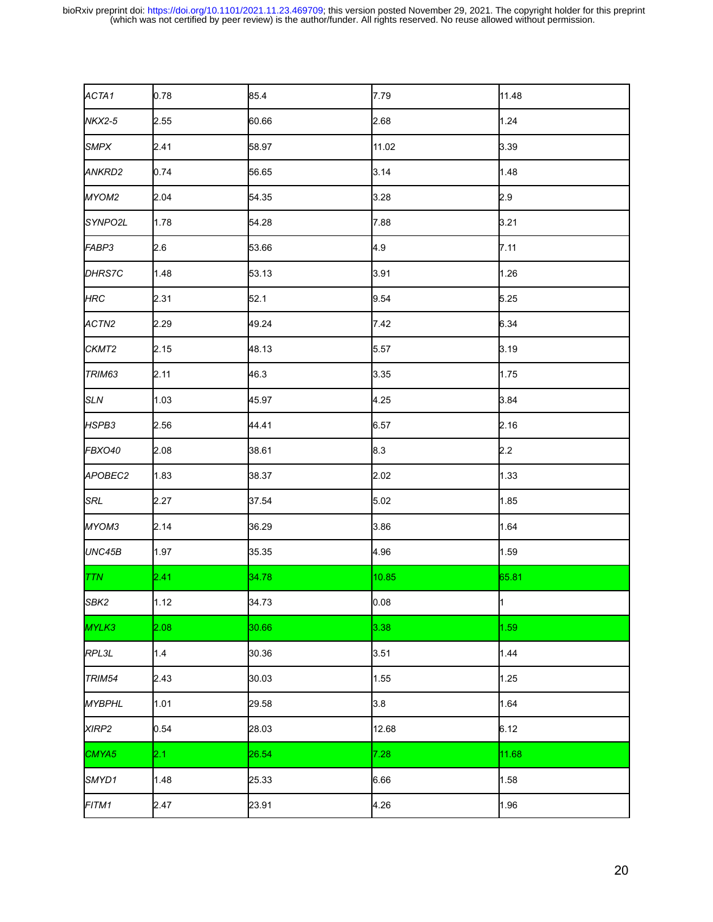| ACTA1               | 0.78 | 85.4  | 7.79  | 11.48       |
|---------------------|------|-------|-------|-------------|
| NKX2-5              | 2.55 | 60.66 | 2.68  | 1.24        |
| <b>SMPX</b>         | 2.41 | 58.97 | 11.02 | 3.39        |
| ANKRD2              | 0.74 | 56.65 | 3.14  | 1.48        |
| MYOM2               | 2.04 | 54.35 | 3.28  | 2.9         |
| SYNPO <sub>2L</sub> | 1.78 | 54.28 | 7.88  | 3.21        |
| FABP3               | 2.6  | 53.66 | 4.9   | 7.11        |
| DHRS7C              | 1.48 | 53.13 | 3.91  | 1.26        |
| <b>HRC</b>          | 2.31 | 52.1  | 9.54  | 5.25        |
| ACTN <sub>2</sub>   | 2.29 | 49.24 | 7.42  | 6.34        |
| CKMT <sub>2</sub>   | 2.15 | 48.13 | 5.57  | 3.19        |
| TRIM63              | 2.11 | 46.3  | 3.35  | 1.75        |
| <b>SLN</b>          | 1.03 | 45.97 | 4.25  | 3.84        |
| HSPB3               | 2.56 | 44.41 | 6.57  | 2.16        |
| FBXO40              | 2.08 | 38.61 | 8.3   | 2.2         |
| APOBEC2             | 1.83 | 38.37 | 2.02  | 1.33        |
| SRL                 | 2.27 | 37.54 | 5.02  | 1.85        |
| MYOM3               | 2.14 | 36.29 | 3.86  | 1.64        |
| UNC45B              | 1.97 | 35.35 | 4.96  | 1.59        |
| <b>TTN</b>          | 2.41 | 34.78 | 10.85 | 65.81       |
| SBK <sub>2</sub>    | 1.12 | 34.73 | 0.08  | $\mathbf 1$ |
| MYLK3               | 2.08 | 30.66 | 3.38  | 1.59        |
| RPL3L               | 1.4  | 30.36 | 3.51  | 1.44        |
| TRIM54              | 2.43 | 30.03 | 1.55  | 1.25        |
| <b>MYBPHL</b>       | 1.01 | 29.58 | 3.8   | 1.64        |
| XIRP <sub>2</sub>   | 0.54 | 28.03 | 12.68 | 6.12        |
| CMYA5               | 2.1  | 26.54 | 7.28  | 11.68       |
| SMYD1               | 1.48 | 25.33 | 6.66  | 1.58        |
| FITM1               | 2.47 | 23.91 | 4.26  | 1.96        |
|                     |      |       |       |             |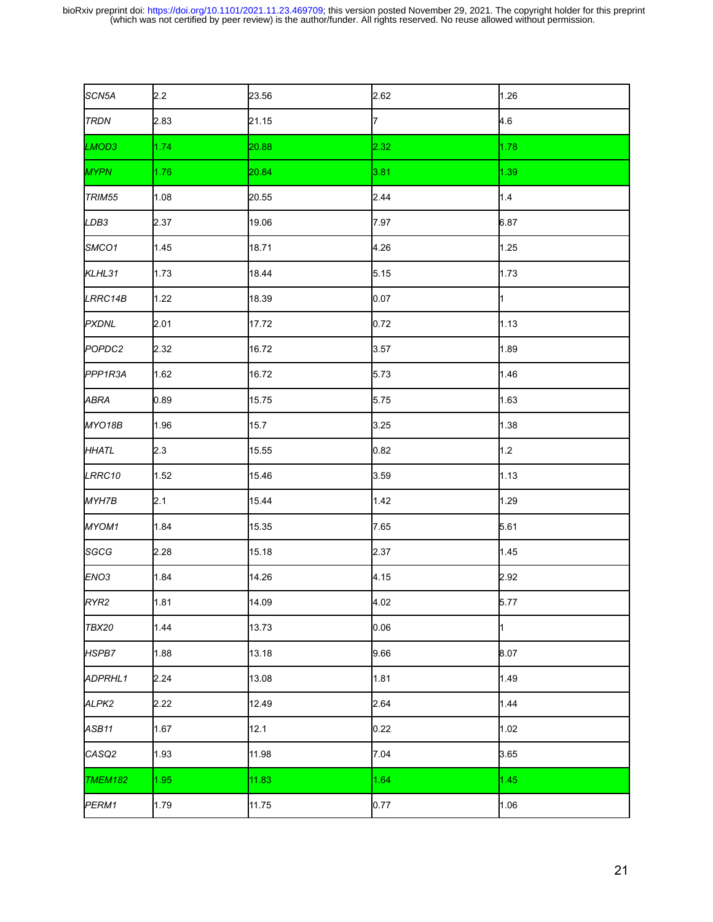| SCN5A              | 2.2  | 23.56 | 2.62 | 1.26        |
|--------------------|------|-------|------|-------------|
| <b>TRDN</b>        | 2.83 | 21.15 | 7    | 4.6         |
| LMOD3              | 1.74 | 20.88 | 2.32 | 1.78        |
| <b>MYPN</b>        | 1.76 | 20.84 | 3.81 | 1.39        |
| TRIM55             | 1.08 | 20.55 | 2.44 | 1.4         |
| LDB <sub>3</sub>   | 2.37 | 19.06 | 7.97 | 6.87        |
| SMCO1              | 1.45 | 18.71 | 4.26 | 1.25        |
| KLHL31             | 1.73 | 18.44 | 5.15 | 1.73        |
| LRRC14B            | 1.22 | 18.39 | 0.07 | $\mathbf 1$ |
| <b>PXDNL</b>       | 2.01 | 17.72 | 0.72 | 1.13        |
| POPDC <sub>2</sub> | 2.32 | 16.72 | 3.57 | 1.89        |
| PPP1R3A            | 1.62 | 16.72 | 5.73 | 1.46        |
| ABRA               | 0.89 | 15.75 | 5.75 | 1.63        |
| MYO18B             | 1.96 | 15.7  | 3.25 | 1.38        |
| <b>HHATL</b>       | 2.3  | 15.55 | 0.82 | $1.2$       |
| LRRC10             | 1.52 | 15.46 | 3.59 | 1.13        |
| MYH7B              | 2.1  | 15.44 | 1.42 | 1.29        |
| MYOM1              | 1.84 | 15.35 | 7.65 | 5.61        |
| SGCG               | 2.28 | 15.18 | 2.37 | 1.45        |
| ENO <sub>3</sub>   | 1.84 | 14.26 | 4.15 | 2.92        |
| RYR2               | 1.81 | 14.09 | 4.02 | 5.77        |
| TBX20              | 1.44 | 13.73 | 0.06 | 1           |
| HSPB7              | 1.88 | 13.18 | 9.66 | 8.07        |
| ADPRHL1            | 2.24 | 13.08 | 1.81 | 1.49        |
| ALPK <sub>2</sub>  | 2.22 | 12.49 | 2.64 | 1.44        |
| ASB <sub>11</sub>  | 1.67 | 12.1  | 0.22 | 1.02        |
| CASQ2              | 1.93 | 11.98 | 7.04 | 3.65        |
| TMEM182            | 1.95 | 11.83 | 1.64 | 1.45        |
| PERM1              | 1.79 | 11.75 | 0.77 | 1.06        |
|                    |      |       |      |             |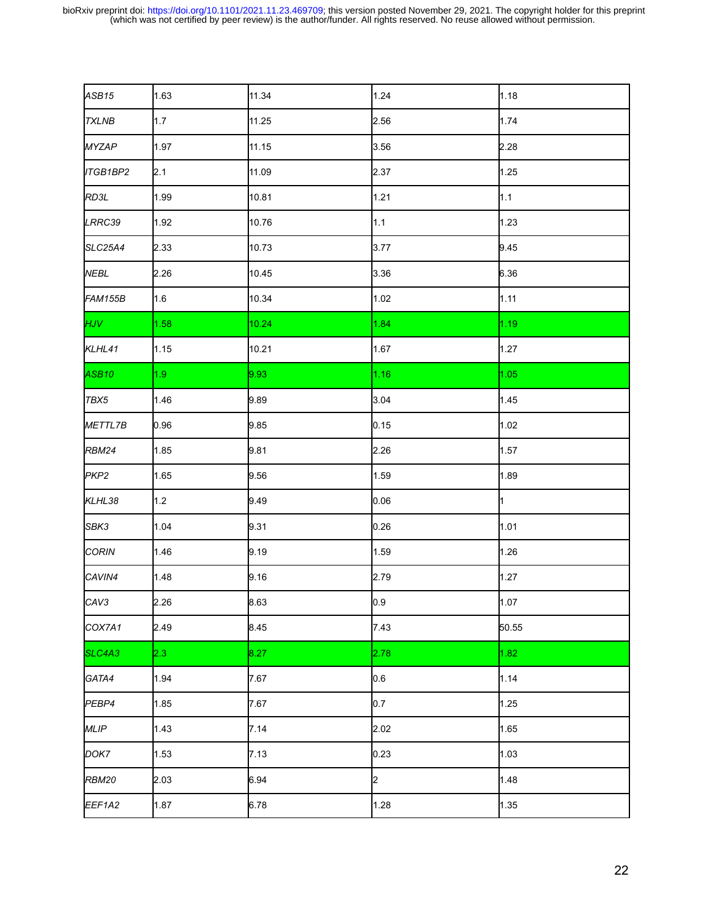| ASB <sub>15</sub>  | 1.63             | 11.34 | 1.24 | 1.18  |
|--------------------|------------------|-------|------|-------|
| <b>TXLNB</b>       | 1.7              | 11.25 | 2.56 | 1.74  |
| <b>MYZAP</b>       | 1.97             | 11.15 | 3.56 | 2.28  |
| ITGB1BP2           | 2.1              | 11.09 | 2.37 | 1.25  |
| RD3L               | 1.99             | 10.81 | 1.21 | 1.1   |
| LRRC39             | 1.92             | 10.76 | 1.1  | 1.23  |
| SLC25A4            | 2.33             | 10.73 | 3.77 | 9.45  |
| <b>NEBL</b>        | 2.26             | 10.45 | 3.36 | 6.36  |
| FAM155B            | 1.6              | 10.34 | 1.02 | 1.11  |
| <b>HJV</b>         | 1.58             | 10.24 | 1.84 | 1.19  |
| KLHL41             | 1.15             | 10.21 | 1.67 | 1.27  |
| ASB10              | 1.9 <sub>z</sub> | 9.93  | 1.16 | 1.05  |
| TBX5               | 1.46             | 9.89  | 3.04 | 1.45  |
| METTL7B            | 0.96             | 9.85  | 0.15 | 1.02  |
| <b>RBM24</b>       | 1.85             | 9.81  | 2.26 | 1.57  |
| PKP <sub>2</sub>   | 1.65             | 9.56  | 1.59 | 1.89  |
| KLHL38             | 1.2              | 9.49  | 0.06 | 1     |
| SBK3               | 1.04             | 9.31  | 0.26 | 1.01  |
| <b>CORIN</b>       | 1.46             | 9.19  | 1.59 | 1.26  |
| CAVIN <sub>4</sub> | 1.48             | 9.16  | 2.79 | 1.27  |
| CAV <sub>3</sub>   | 2.26             | 8.63  | 0.9  | 1.07  |
| COX7A1             | 2.49             | 8.45  | 7.43 | 50.55 |
| SLC4A3             | 2.3              | 8.27  | 2.78 | 1.82  |
| GATA4              | 1.94             | 7.67  | 0.6  | 1.14  |
| PEBP4              | 1.85             | 7.67  | 0.7  | 1.25  |
| <b>MLIP</b>        | 1.43             | 7.14  | 2.02 | 1.65  |
| DOK7               | 1.53             | 7.13  | 0.23 | 1.03  |
| <b>RBM20</b>       | 2.03             | 6.94  | 2    | 1.48  |
| EEF1A2             | 1.87             | 6.78  | 1.28 | 1.35  |
|                    |                  |       |      |       |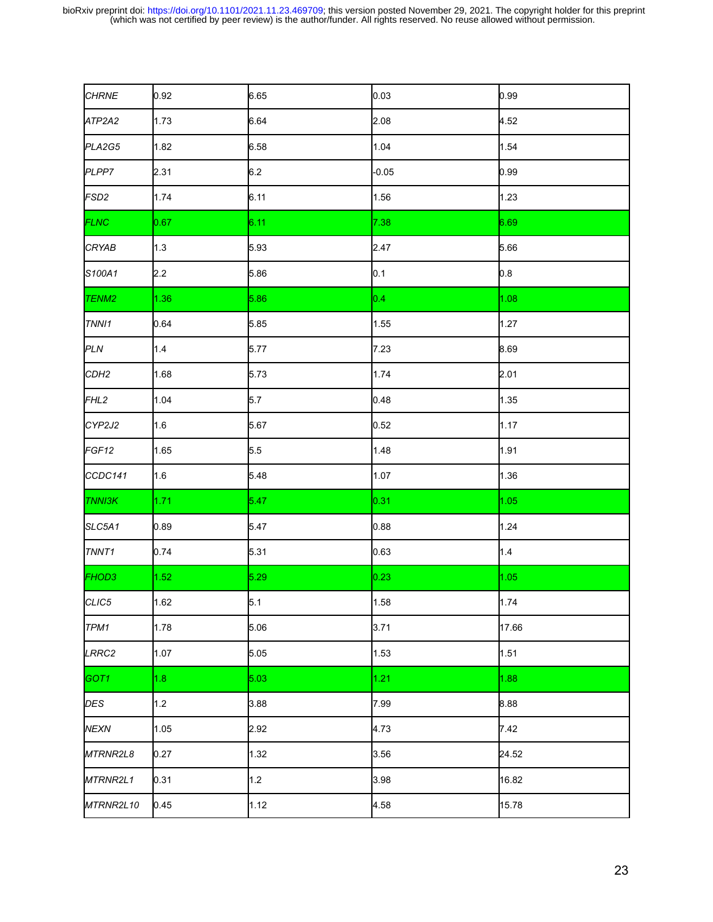| <b>CHRNE</b>      | 0.92 | 6.65 | 0.03    | 0.99  |
|-------------------|------|------|---------|-------|
| ATP2A2            | 1.73 | 6.64 | 2.08    | 4.52  |
| PLA2G5            | 1.82 | 6.58 | 1.04    | 1.54  |
| PLPP7             | 2.31 | 6.2  | $-0.05$ | 0.99  |
| FSD <sub>2</sub>  | 1.74 | 6.11 | 1.56    | 1.23  |
| <b>FLNC</b>       | 0.67 | 6.11 | 7.38    | 6.69  |
| <b>CRYAB</b>      | 1.3  | 5.93 | 2.47    | 5.66  |
| S100A1            | 2.2  | 5.86 | 0.1     | 0.8   |
| TENM <sub>2</sub> | 1.36 | 5.86 | 0.4     | 1.08  |
| TNNI1             | 0.64 | 5.85 | 1.55    | 1.27  |
| PLN               | 1.4  | 5.77 | 7.23    | 8.69  |
| CDH <sub>2</sub>  | 1.68 | 5.73 | 1.74    | 2.01  |
| FHL <sub>2</sub>  | 1.04 | 5.7  | 0.48    | 1.35  |
| CYP2J2            | 1.6  | 5.67 | 0.52    | 1.17  |
| FGF <sub>12</sub> | 1.65 | 5.5  | 1.48    | 1.91  |
| CCDC141           | 1.6  | 5.48 | 1.07    | 1.36  |
| <b>TNNI3K</b>     | 1.71 | 5.47 | 0.31    | 1.05  |
| SLC5A1            | 0.89 | 5.47 | 0.88    | 1.24  |
| TNNT <sub>1</sub> | 0.74 | 5.31 | 0.63    | 1.4   |
| FHOD3             | 1.52 | 5.29 | 0.23    | 1.05  |
| CLIC5             | 1.62 | 5.1  | 1.58    | 1.74  |
| TPM1              | 1.78 | 5.06 | 3.71    | 17.66 |
| LRRC2             | 1.07 | 5.05 | 1.53    | 1.51  |
| GOT <sub>1</sub>  | 1.8  | 5.03 | 1.21    | 1.88  |
| DES               | 1.2  | 3.88 | 7.99    | 8.88  |
| <b>NEXN</b>       | 1.05 | 2.92 | 4.73    | 7.42  |
| MTRNR2L8          | 0.27 | 1.32 | 3.56    | 24.52 |
| MTRNR2L1          | 0.31 | 1.2  | 3.98    | 16.82 |
| MTRNR2L10         | 0.45 | 1.12 | 4.58    | 15.78 |
|                   |      |      |         |       |